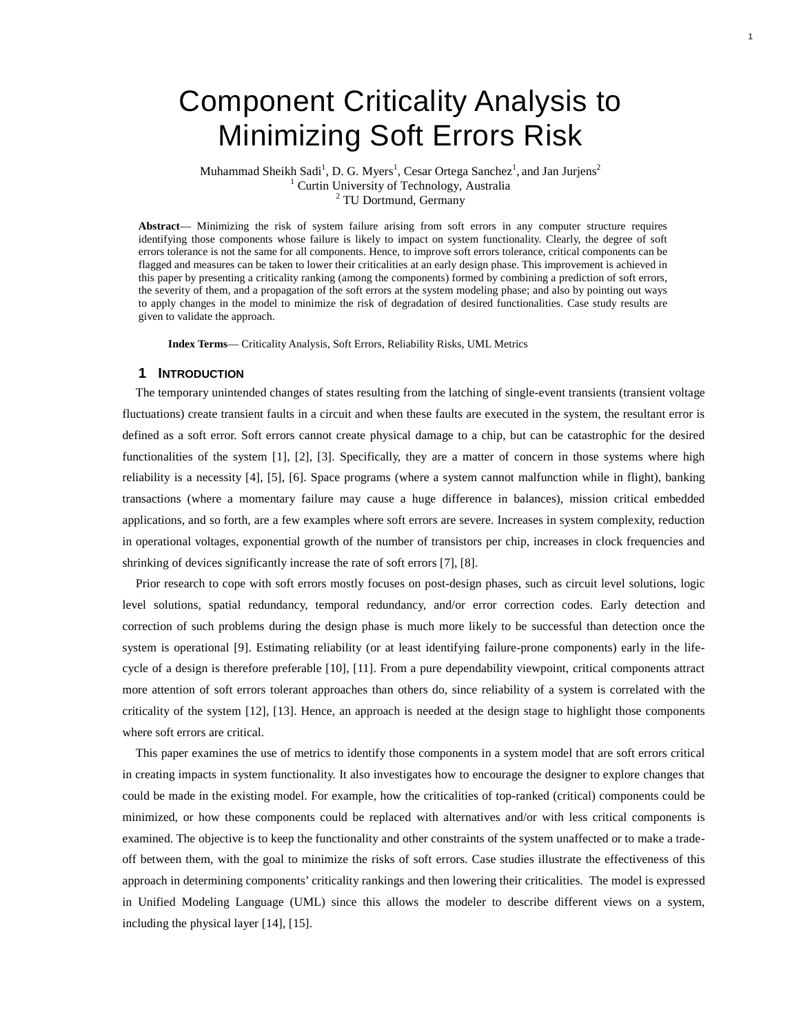# Component Criticality Analysis to Minimizing Soft Errors Risk

1

Muhammad Sheikh Sadi<sup>1</sup>, D. G. Myers<sup>1</sup>, Cesar Ortega Sanchez<sup>1</sup>, and Jan Jurjens<sup>2</sup> <sup>1</sup> Curtin University of Technology, Australia <sup>2</sup> TU Dortmund, Germany

**Abstract**— Minimizing the risk of system failure arising from soft errors in any computer structure requires identifying those components whose failure is likely to impact on system functionality. Clearly, the degree of soft errors tolerance is not the same for all components. Hence, to improve soft errors tolerance, critical components can be flagged and measures can be taken to lower their criticalities at an early design phase. This improvement is achieved in this paper by presenting a criticality ranking (among the components) formed by combining a prediction of soft errors, the severity of them, and a propagation of the soft errors at the system modeling phase; and also by pointing out ways to apply changes in the model to minimize the risk of degradation of desired functionalities. Case study results are given to validate the approach.

**Index Terms**— Criticality Analysis, Soft Errors, Reliability Risks, UML Metrics

# **1 INTRODUCTION**

The temporary unintended changes of states resulting from the latching of single-event transients (transient voltage fluctuations) create transient faults in a circuit and when these faults are executed in the system, the resultant error is defined as a soft error. Soft errors cannot create physical damage to a chip, but can be catastrophic for the desired functionalities of the system [1], [2], [3]. Specifically, they are a matter of concern in those systems where high reliability is a necessity [4], [5], [6]. Space programs (where a system cannot malfunction while in flight), banking transactions (where a momentary failure may cause a huge difference in balances), mission critical embedded applications, and so forth, are a few examples where soft errors are severe. Increases in system complexity, reduction in operational voltages, exponential growth of the number of transistors per chip, increases in clock frequencies and shrinking of devices significantly increase the rate of soft errors [7], [8].

Prior research to cope with soft errors mostly focuses on post-design phases, such as circuit level solutions, logic level solutions, spatial redundancy, temporal redundancy, and/or error correction codes. Early detection and correction of such problems during the design phase is much more likely to be successful than detection once the system is operational [9]. Estimating reliability (or at least identifying failure-prone components) early in the lifecycle of a design is therefore preferable [10], [11]. From a pure dependability viewpoint, critical components attract more attention of soft errors tolerant approaches than others do, since reliability of a system is correlated with the criticality of the system [12], [13]. Hence, an approach is needed at the design stage to highlight those components where soft errors are critical.

This paper examines the use of metrics to identify those components in a system model that are soft errors critical in creating impacts in system functionality. It also investigates how to encourage the designer to explore changes that could be made in the existing model. For example, how the criticalities of top-ranked (critical) components could be minimized, or how these components could be replaced with alternatives and/or with less critical components is examined. The objective is to keep the functionality and other constraints of the system unaffected or to make a tradeoff between them, with the goal to minimize the risks of soft errors. Case studies illustrate the effectiveness of this approach in determining components' criticality rankings and then lowering their criticalities. The model is expressed in Unified Modeling Language (UML) since this allows the modeler to describe different views on a system, including the physical layer [14], [15].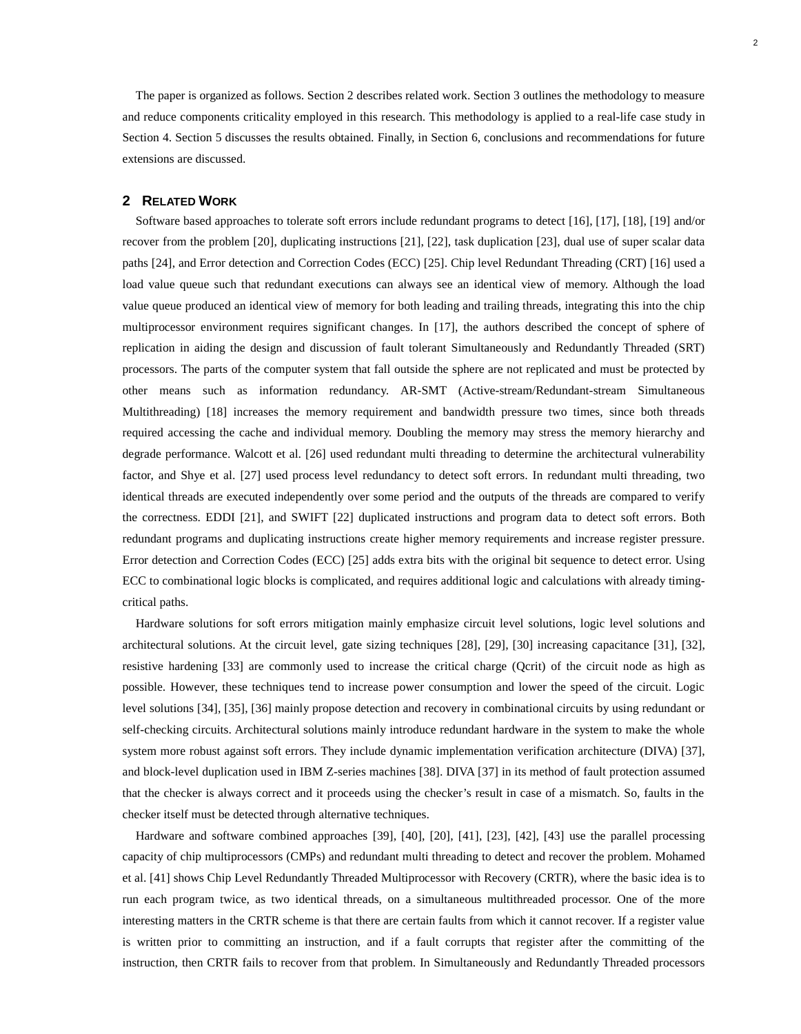The paper is organized as follows. Section 2 describes related work. Section 3 outlines the methodology to measure and reduce components criticality employed in this research. This methodology is applied to a real-life case study in Section 4. Section 5 discusses the results obtained. Finally, in Section 6, conclusions and recommendations for future extensions are discussed.

# **2 RELATED WORK**

Software based approaches to tolerate soft errors include redundant programs to detect [16], [17], [18], [19] and/or recover from the problem [20], duplicating instructions [21], [22], task duplication [23], dual use of super scalar data paths [24], and Error detection and Correction Codes (ECC) [25]. Chip level Redundant Threading (CRT) [16] used a load value queue such that redundant executions can always see an identical view of memory. Although the load value queue produced an identical view of memory for both leading and trailing threads, integrating this into the chip multiprocessor environment requires significant changes. In [17], the authors described the concept of sphere of replication in aiding the design and discussion of fault tolerant Simultaneously and Redundantly Threaded (SRT) processors. The parts of the computer system that fall outside the sphere are not replicated and must be protected by other means such as information redundancy. AR-SMT (Active-stream/Redundant-stream Simultaneous Multithreading) [18] increases the memory requirement and bandwidth pressure two times, since both threads required accessing the cache and individual memory. Doubling the memory may stress the memory hierarchy and degrade performance. Walcott et al. [26] used redundant multi threading to determine the architectural vulnerability factor, and Shye et al. [27] used process level redundancy to detect soft errors. In redundant multi threading, two identical threads are executed independently over some period and the outputs of the threads are compared to verify the correctness. EDDI [21], and SWIFT [22] duplicated instructions and program data to detect soft errors. Both redundant programs and duplicating instructions create higher memory requirements and increase register pressure. Error detection and Correction Codes (ECC) [25] adds extra bits with the original bit sequence to detect error. Using ECC to combinational logic blocks is complicated, and requires additional logic and calculations with already timingcritical paths.

Hardware solutions for soft errors mitigation mainly emphasize circuit level solutions, logic level solutions and architectural solutions. At the circuit level, gate sizing techniques [28], [29], [30] increasing capacitance [31], [32], resistive hardening [33] are commonly used to increase the critical charge (Qcrit) of the circuit node as high as possible. However, these techniques tend to increase power consumption and lower the speed of the circuit. Logic level solutions [34], [35], [36] mainly propose detection and recovery in combinational circuits by using redundant or self-checking circuits. Architectural solutions mainly introduce redundant hardware in the system to make the whole system more robust against soft errors. They include dynamic implementation verification architecture (DIVA) [37], and block-level duplication used in IBM Z-series machines [38]. DIVA [37] in its method of fault protection assumed that the checker is always correct and it proceeds using the checker's result in case of a mismatch. So, faults in the checker itself must be detected through alternative techniques.

Hardware and software combined approaches [39], [40], [20], [41], [23], [42], [43] use the parallel processing capacity of chip multiprocessors (CMPs) and redundant multi threading to detect and recover the problem. Mohamed et al. [41] shows Chip Level Redundantly Threaded Multiprocessor with Recovery (CRTR), where the basic idea is to run each program twice, as two identical threads, on a simultaneous multithreaded processor. One of the more interesting matters in the CRTR scheme is that there are certain faults from which it cannot recover. If a register value is written prior to committing an instruction, and if a fault corrupts that register after the committing of the instruction, then CRTR fails to recover from that problem. In Simultaneously and Redundantly Threaded processors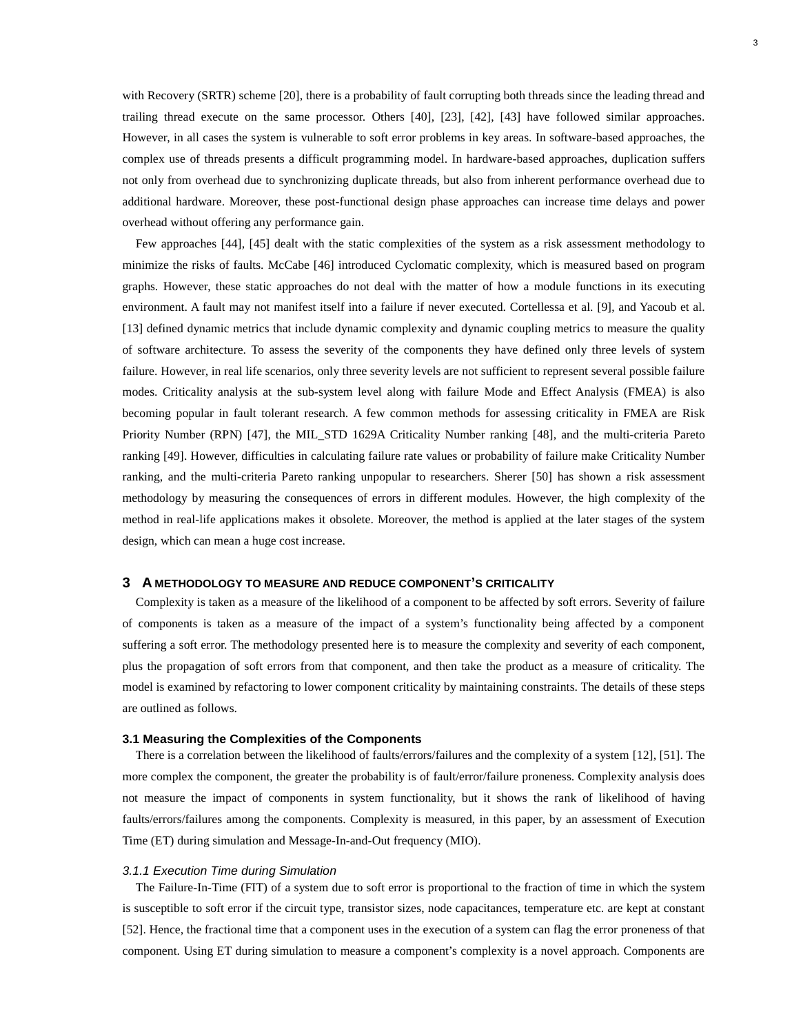with Recovery (SRTR) scheme [20], there is a probability of fault corrupting both threads since the leading thread and trailing thread execute on the same processor. Others [40], [23], [42], [43] have followed similar approaches. However, in all cases the system is vulnerable to soft error problems in key areas. In software-based approaches, the complex use of threads presents a difficult programming model. In hardware-based approaches, duplication suffers not only from overhead due to synchronizing duplicate threads, but also from inherent performance overhead due to additional hardware. Moreover, these post-functional design phase approaches can increase time delays and power overhead without offering any performance gain.

Few approaches [44], [45] dealt with the static complexities of the system as a risk assessment methodology to minimize the risks of faults. McCabe [46] introduced Cyclomatic complexity, which is measured based on program graphs. However, these static approaches do not deal with the matter of how a module functions in its executing environment. A fault may not manifest itself into a failure if never executed. Cortellessa et al. [9], and Yacoub et al. [13] defined dynamic metrics that include dynamic complexity and dynamic coupling metrics to measure the quality of software architecture. To assess the severity of the components they have defined only three levels of system failure. However, in real life scenarios, only three severity levels are not sufficient to represent several possible failure modes. Criticality analysis at the sub-system level along with failure Mode and Effect Analysis (FMEA) is also becoming popular in fault tolerant research. A few common methods for assessing criticality in FMEA are Risk Priority Number (RPN) [47], the MIL\_STD 1629A Criticality Number ranking [48], and the multi-criteria Pareto ranking [49]. However, difficulties in calculating failure rate values or probability of failure make Criticality Number ranking, and the multi-criteria Pareto ranking unpopular to researchers. Sherer [50] has shown a risk assessment methodology by measuring the consequences of errors in different modules. However, the high complexity of the method in real-life applications makes it obsolete. Moreover, the method is applied at the later stages of the system design, which can mean a huge cost increase.

# **3 A METHODOLOGY TO MEASURE AND REDUCE COMPONENT'S CRITICALITY**

Complexity is taken as a measure of the likelihood of a component to be affected by soft errors. Severity of failure of components is taken as a measure of the impact of a system's functionality being affected by a component suffering a soft error. The methodology presented here is to measure the complexity and severity of each component, plus the propagation of soft errors from that component, and then take the product as a measure of criticality. The model is examined by refactoring to lower component criticality by maintaining constraints. The details of these steps are outlined as follows.

#### **3.1 Measuring the Complexities of the Components**

There is a correlation between the likelihood of faults/errors/failures and the complexity of a system [12], [51]. The more complex the component, the greater the probability is of fault/error/failure proneness. Complexity analysis does not measure the impact of components in system functionality, but it shows the rank of likelihood of having faults/errors/failures among the components. Complexity is measured, in this paper, by an assessment of Execution Time (ET) during simulation and Message-In-and-Out frequency (MIO).

#### 3.1.1 Execution Time during Simulation

The Failure-In-Time (FIT) of a system due to soft error is proportional to the fraction of time in which the system is susceptible to soft error if the circuit type, transistor sizes, node capacitances, temperature etc. are kept at constant [52]. Hence, the fractional time that a component uses in the execution of a system can flag the error proneness of that component. Using ET during simulation to measure a component's complexity is a novel approach. Components are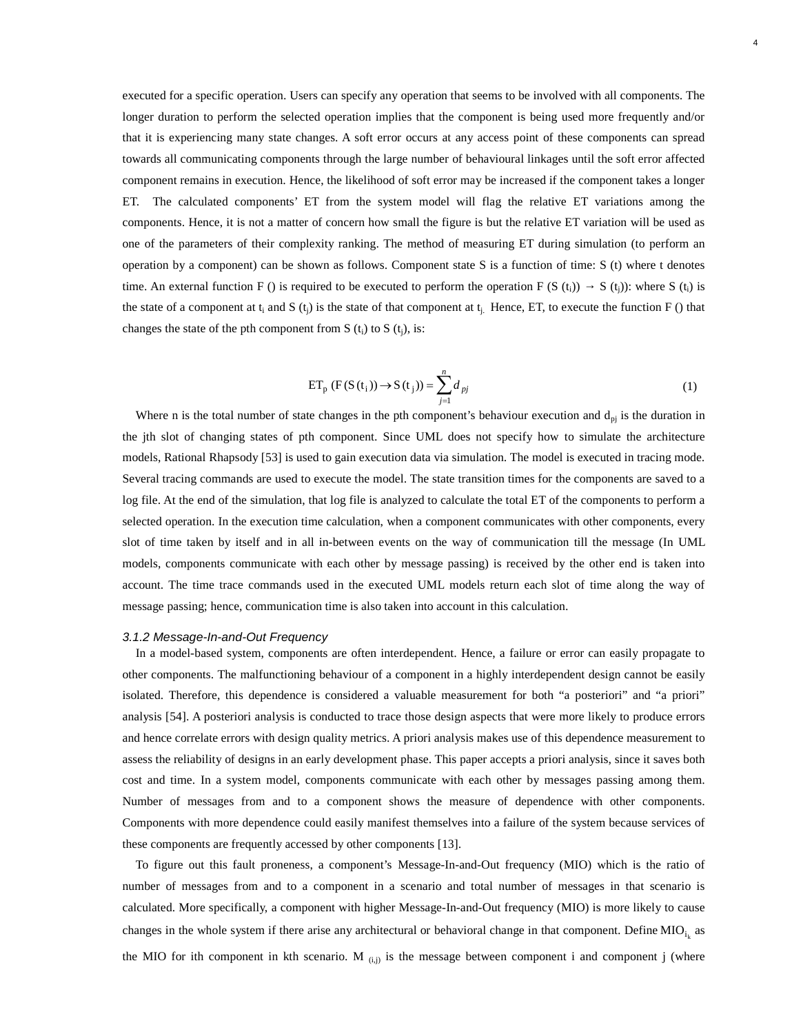executed for a specific operation. Users can specify any operation that seems to be involved with all components. The longer duration to perform the selected operation implies that the component is being used more frequently and/or that it is experiencing many state changes. A soft error occurs at any access point of these components can spread towards all communicating components through the large number of behavioural linkages until the soft error affected component remains in execution. Hence, the likelihood of soft error may be increased if the component takes a longer ET. The calculated components' ET from the system model will flag the relative ET variations among the components. Hence, it is not a matter of concern how small the figure is but the relative ET variation will be used as one of the parameters of their complexity ranking. The method of measuring ET during simulation (to perform an operation by a component) can be shown as follows. Component state S is a function of time: S (t) where t denotes time. An external function F () is required to be executed to perform the operation F (S (t<sub>i</sub>))  $\rightarrow$  S (t<sub>i</sub>)): where S (t<sub>i</sub>) is the state of a component at  $t_i$  and S  $(t_j)$  is the state of that component at  $t_j$ . Hence, ET, to execute the function F () that changes the state of the pth component from  $S(t_i)$  to  $S(t_i)$ , is:

$$
ET_p (F(S(t_i)) \to S(t_j)) = \sum_{j=1}^n d_{pj}
$$
 (1)

Where n is the total number of state changes in the pth component's behaviour execution and  $d_{pi}$  is the duration in the jth slot of changing states of pth component. Since UML does not specify how to simulate the architecture models, Rational Rhapsody [53] is used to gain execution data via simulation. The model is executed in tracing mode. Several tracing commands are used to execute the model. The state transition times for the components are saved to a log file. At the end of the simulation, that log file is analyzed to calculate the total ET of the components to perform a selected operation. In the execution time calculation, when a component communicates with other components, every slot of time taken by itself and in all in-between events on the way of communication till the message (In UML models, components communicate with each other by message passing) is received by the other end is taken into account. The time trace commands used in the executed UML models return each slot of time along the way of message passing; hence, communication time is also taken into account in this calculation.

## 3.1.2 Message-In-and-Out Frequency

In a model-based system, components are often interdependent. Hence, a failure or error can easily propagate to other components. The malfunctioning behaviour of a component in a highly interdependent design cannot be easily isolated. Therefore, this dependence is considered a valuable measurement for both "a posteriori" and "a priori" analysis [54]. A posteriori analysis is conducted to trace those design aspects that were more likely to produce errors and hence correlate errors with design quality metrics. A priori analysis makes use of this dependence measurement to assess the reliability of designs in an early development phase. This paper accepts a priori analysis, since it saves both cost and time. In a system model, components communicate with each other by messages passing among them. Number of messages from and to a component shows the measure of dependence with other components. Components with more dependence could easily manifest themselves into a failure of the system because services of these components are frequently accessed by other components [13].

To figure out this fault proneness, a component's Message-In-and-Out frequency (MIO) which is the ratio of number of messages from and to a component in a scenario and total number of messages in that scenario is calculated. More specifically, a component with higher Message-In-and-Out frequency (MIO) is more likely to cause changes in the whole system if there arise any architectural or behavioral change in that component. Define  $MIO_{i_k}$  as the MIO for ith component in kth scenario. M  $_{\text{(ii)}}$  is the message between component i and component j (where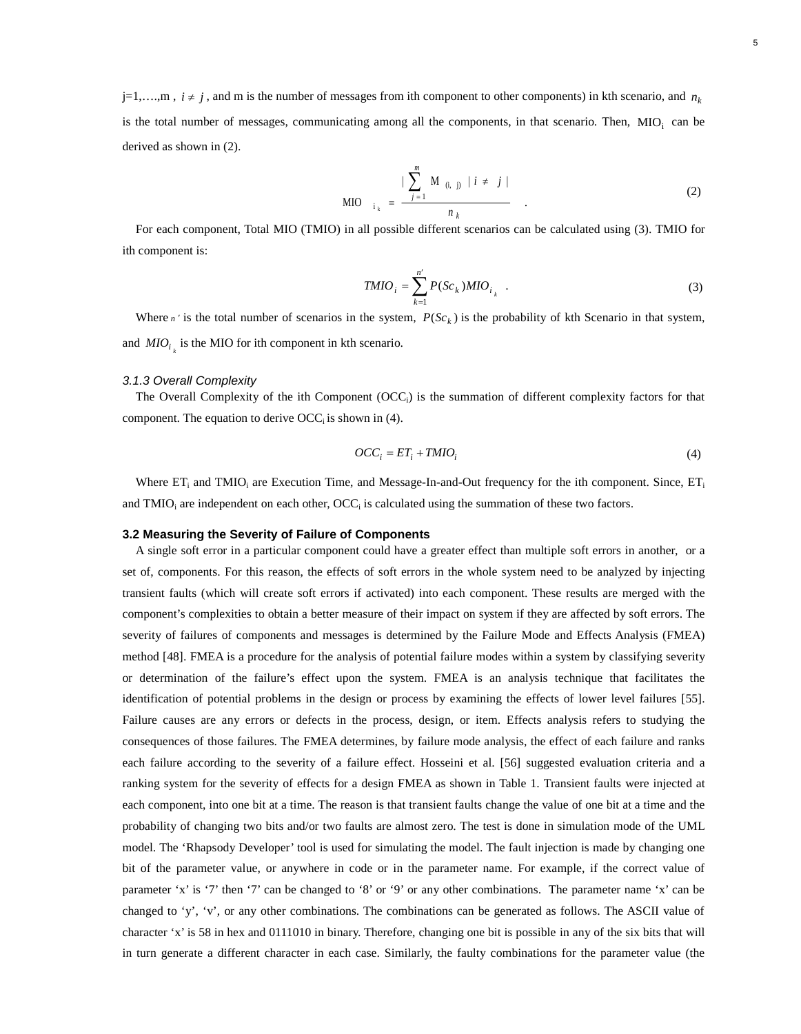$j=1,...,m$ ,  $i \neq j$ , and m is the number of messages from ith component to other components) in kth scenario, and  $n_k$ is the total number of messages, communicating among all the components, in that scenario. Then, MIO<sub>i</sub> can be derived as shown in (2).

MIO 
$$
\iint_{i_k} = \frac{\sum_{j=1}^{m} M_{(i, j)} |i \neq j|}{n_k}
$$
 (2)

For each component, Total MIO (TMIO) in all possible different scenarios can be calculated using (3). TMIO for ith component is:

$$
TMIO_i = \sum_{k=1}^{n'} P(Sc_k)MIO_{i_k} .
$$
 (3)

Where  $n'$  is the total number of scenarios in the system,  $P(Sc_k)$  is the probability of kth Scenario in that system, and  $MIO_{i_k}$  is the MIO for ith component in kth scenario.

## 3.1.3 Overall Complexity

The Overall Complexity of the ith Component  $(OCC_i)$  is the summation of different complexity factors for that component. The equation to derive  $\mathrm{OCC}_i$  is shown in (4).

$$
OCC_i = ET_i + TMIO_i \tag{4}
$$

Where  $ET_i$  and TMIO<sub>i</sub> are Execution Time, and Message-In-and-Out frequency for the ith component. Since,  $ET_i$ and  $TMIO<sub>i</sub>$  are independent on each other,  $OCC<sub>i</sub>$  is calculated using the summation of these two factors.

## **3.2 Measuring the Severity of Failure of Components**

A single soft error in a particular component could have a greater effect than multiple soft errors in another, or a set of, components. For this reason, the effects of soft errors in the whole system need to be analyzed by injecting transient faults (which will create soft errors if activated) into each component. These results are merged with the component's complexities to obtain a better measure of their impact on system if they are affected by soft errors. The severity of failures of components and messages is determined by the Failure Mode and Effects Analysis (FMEA) method [48]. FMEA is a procedure for the analysis of potential failure modes within a system by classifying severity or determination of the failure's effect upon the system. FMEA is an analysis technique that facilitates the identification of potential problems in the design or process by examining the effects of lower level failures [55]. Failure causes are any errors or defects in the process, design, or item. Effects analysis refers to studying the consequences of those failures. The FMEA determines, by failure mode analysis, the effect of each failure and ranks each failure according to the severity of a failure effect. Hosseini et al. [56] suggested evaluation criteria and a ranking system for the severity of effects for a design FMEA as shown in Table 1. Transient faults were injected at each component, into one bit at a time. The reason is that transient faults change the value of one bit at a time and the probability of changing two bits and/or two faults are almost zero. The test is done in simulation mode of the UML model. The 'Rhapsody Developer' tool is used for simulating the model. The fault injection is made by changing one bit of the parameter value, or anywhere in code or in the parameter name. For example, if the correct value of parameter 'x' is '7' then '7' can be changed to '8' or '9' or any other combinations. The parameter name 'x' can be changed to 'y', 'v', or any other combinations. The combinations can be generated as follows. The ASCII value of character 'x' is 58 in hex and 0111010 in binary. Therefore, changing one bit is possible in any of the six bits that will in turn generate a different character in each case. Similarly, the faulty combinations for the parameter value (the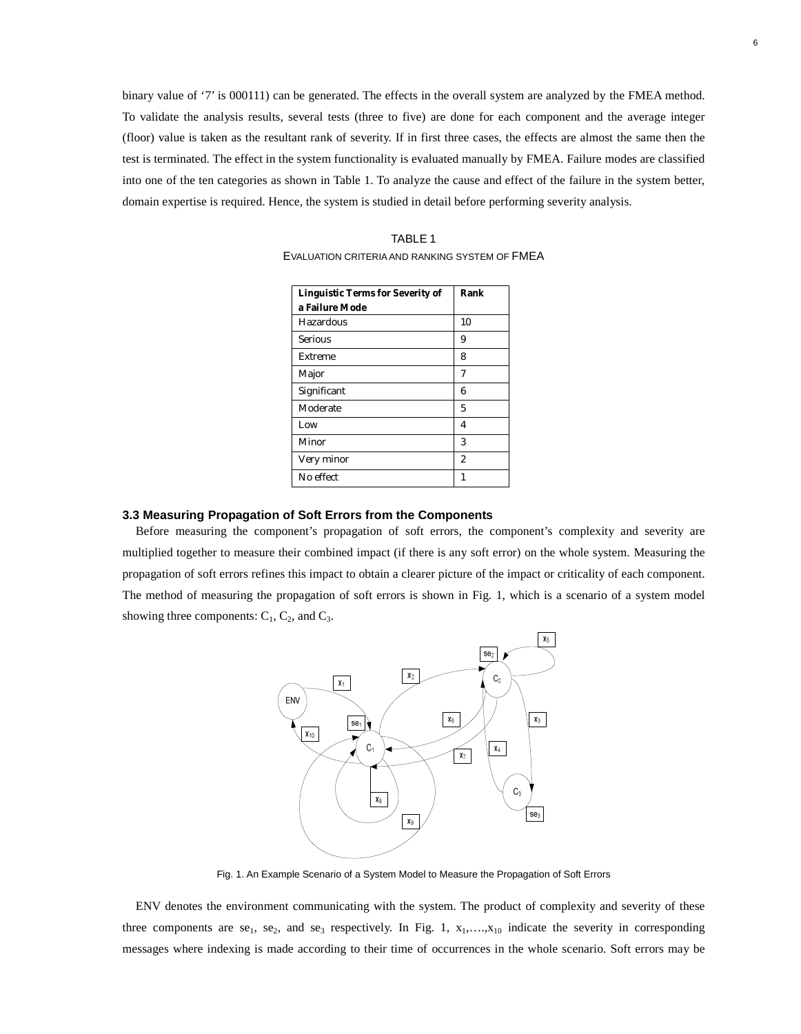binary value of '7' is 000111) can be generated. The effects in the overall system are analyzed by the FMEA method. To validate the analysis results, several tests (three to five) are done for each component and the average integer (floor) value is taken as the resultant rank of severity. If in first three cases, the effects are almost the same then the test is terminated. The effect in the system functionality is evaluated manually by FMEA. Failure modes are classified into one of the ten categories as shown in Table 1. To analyze the cause and effect of the failure in the system better, domain expertise is required. Hence, the system is studied in detail before performing severity analysis.

| Linguistic Terms for Severity of<br>a Failure Mode | Rank           |
|----------------------------------------------------|----------------|
| Hazardous                                          | 10             |
| Serious                                            | 9              |
| Extreme                                            | 8              |
| Major                                              | 7              |
| Significant                                        | 6              |
| Moderate                                           | 5              |
| Low                                                | 4              |
| Minor                                              | 3              |
| Very minor                                         | $\overline{2}$ |
| No effect                                          |                |

TABLE 1 EVALUATION CRITERIA AND RANKING SYSTEM OF FMEA

# **3.3 Measuring Propagation of Soft Errors from the Components**

Before measuring the component's propagation of soft errors, the component's complexity and severity are multiplied together to measure their combined impact (if there is any soft error) on the whole system. Measuring the propagation of soft errors refines this impact to obtain a clearer picture of the impact or criticality of each component. The method of measuring the propagation of soft errors is shown in Fig. 1, which is a scenario of a system model showing three components:  $C_1$ ,  $C_2$ , and  $C_3$ .



Fig. 1. An Example Scenario of a System Model to Measure the Propagation of Soft Errors

ENV denotes the environment communicating with the system. The product of complexity and severity of these three components are se<sub>1</sub>, se<sub>2</sub>, and se<sub>3</sub> respectively. In Fig. 1,  $x_1, \ldots, x_{10}$  indicate the severity in corresponding messages where indexing is made according to their time of occurrences in the whole scenario. Soft errors may be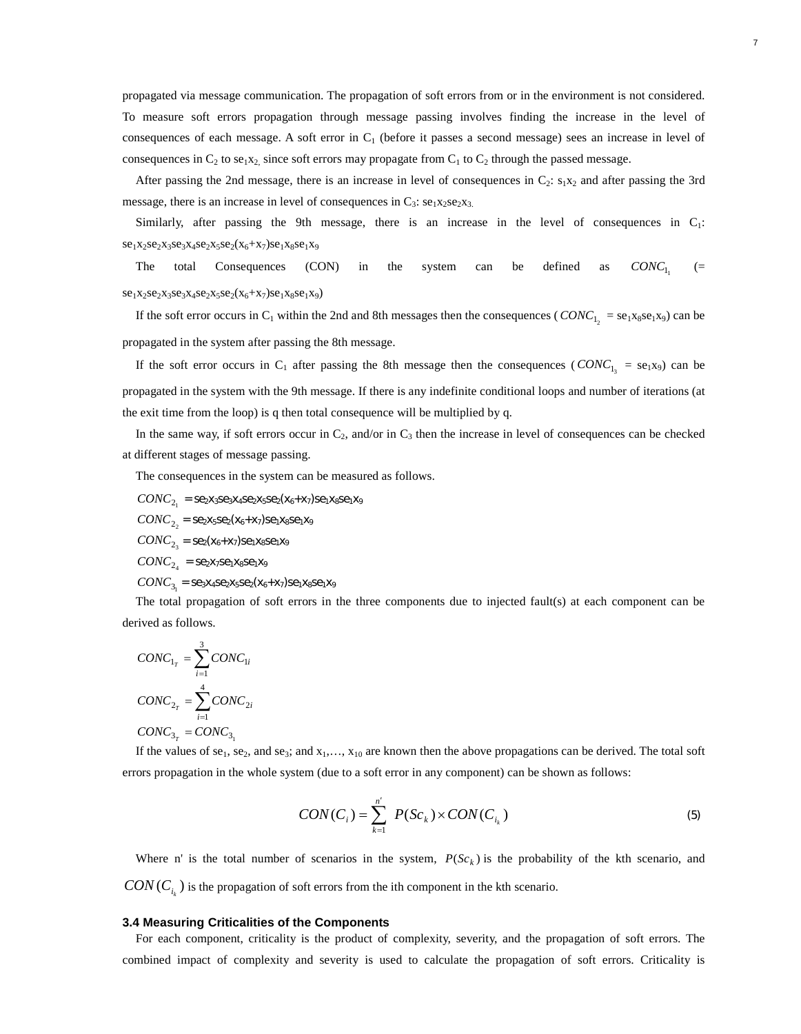propagated via message communication. The propagation of soft errors from or in the environment is not considered. To measure soft errors propagation through message passing involves finding the increase in the level of consequences of each message. A soft error in  $C_1$  (before it passes a second message) sees an increase in level of consequences in  $C_2$  to se<sub>1</sub>x<sub>2</sub>, since soft errors may propagate from  $C_1$  to  $C_2$  through the passed message.

After passing the 2nd message, there is an increase in level of consequences in  $C_2$ :  $s_1x_2$  and after passing the 3rd message, there is an increase in level of consequences in  $C_3$ :  $se_1x_2se_2x_3$ .

Similarly, after passing the 9th message, there is an increase in the level of consequences in  $C_1$ :  $se_1x_2se_2x_3se_3x_4se_2x_5se_2(x_6+x_7)se_1x_8se_1x_9$ 

The total Consequences (CON) in the system can be defined as  $CONC_{1}$  (=  $se_1x_2se_2x_3se_3x_4se_2x_5se_2(x_6+x_7)se_1x_8se_1x_9$ 

If the soft error occurs in  $C_1$  within the 2nd and 8th messages then the consequences ( $CONC_{1_2}$  =  $se_1x_8se_1x_9$ ) can be propagated in the system after passing the 8th message.

If the soft error occurs in  $C_1$  after passing the 8th message then the consequences ( $CONC_{1_3}$  = se<sub>1</sub>x<sub>9</sub>) can be propagated in the system with the 9th message. If there is any indefinite conditional loops and number of iterations (at the exit time from the loop) is q then total consequence will be multiplied by q.

In the same way, if soft errors occur in  $C_2$ , and/or in  $C_3$  then the increase in level of consequences can be checked at different stages of message passing.

The consequences in the system can be measured as follows.

 $CONC_{2_1} = \frac{se_2x_3se_3x_4se_2x_5se_2(x_6+x_7)se_1x_8se_1x_9}{x_2+xe_3+xe_4}$ 

 $CONC_{2_2} = \text{se}_2\text{X}_5\text{se}_2(\text{X}_6 + \text{X}_7)\text{se}_1\text{X}_8\text{se}_1\text{X}_9$ 

 $CONC_{2_3} = \frac{se_2(x_6 + x_7)se_1x_8se_1x_9}{se_1x_6se_2x_9}$ 

 $CONC_{2_4} = \frac{28}{2} \times \frac{1}{2} \cdot \frac{1}{2} \cdot \frac{1}{2} \cdot \frac{1}{2} \cdot \frac{1}{2} \cdot \frac{1}{2} \cdot \frac{1}{2} \cdot \frac{1}{2} \cdot \frac{1}{2} \cdot \frac{1}{2} \cdot \frac{1}{2} \cdot \frac{1}{2} \cdot \frac{1}{2} \cdot \frac{1}{2} \cdot \frac{1}{2} \cdot \frac{1}{2} \cdot \frac{1}{2} \cdot \frac{1}{2} \cdot \frac{1}{2} \cdot \frac{1}{2} \cdot \frac{1}{2} \cdot \frac{1}{2} \cdot \frac{1$ 

 $CONC_{3_1} = \frac{36_3x_456_2x_556_2(x_6+x_7)56_1x_856_1x_9}{x_6+8x_7}$ 

The total propagation of soft errors in the three components due to injected fault(s) at each component can be derived as follows.

$$
CONC_{1_T} = \sum_{i=1}^{3} CONC_{1i}
$$

$$
CONC_{2_T} = \sum_{i=1}^{4} CONC_{2i}
$$

$$
CONC_{3_T} = CONC_{3_1}
$$

If the values of se<sub>1</sub>, se<sub>2</sub>, and se<sub>3</sub>; and  $x_1, \ldots, x_{10}$  are known then the above propagations can be derived. The total soft errors propagation in the whole system (due to a soft error in any component) can be shown as follows:

$$
CON(C_i) = \sum_{k=1}^{n'} P(Sc_k) \times CON(C_{i_k})
$$
\n<sup>(5)</sup>

Where n' is the total number of scenarios in the system,  $P(Sc_k)$  is the probability of the kth scenario, and  $CON(C_{i_k})$  is the propagation of soft errors from the ith component in the kth scenario.

## **3.4 Measuring Criticalities of the Components**

For each component, criticality is the product of complexity, severity, and the propagation of soft errors. The combined impact of complexity and severity is used to calculate the propagation of soft errors. Criticality is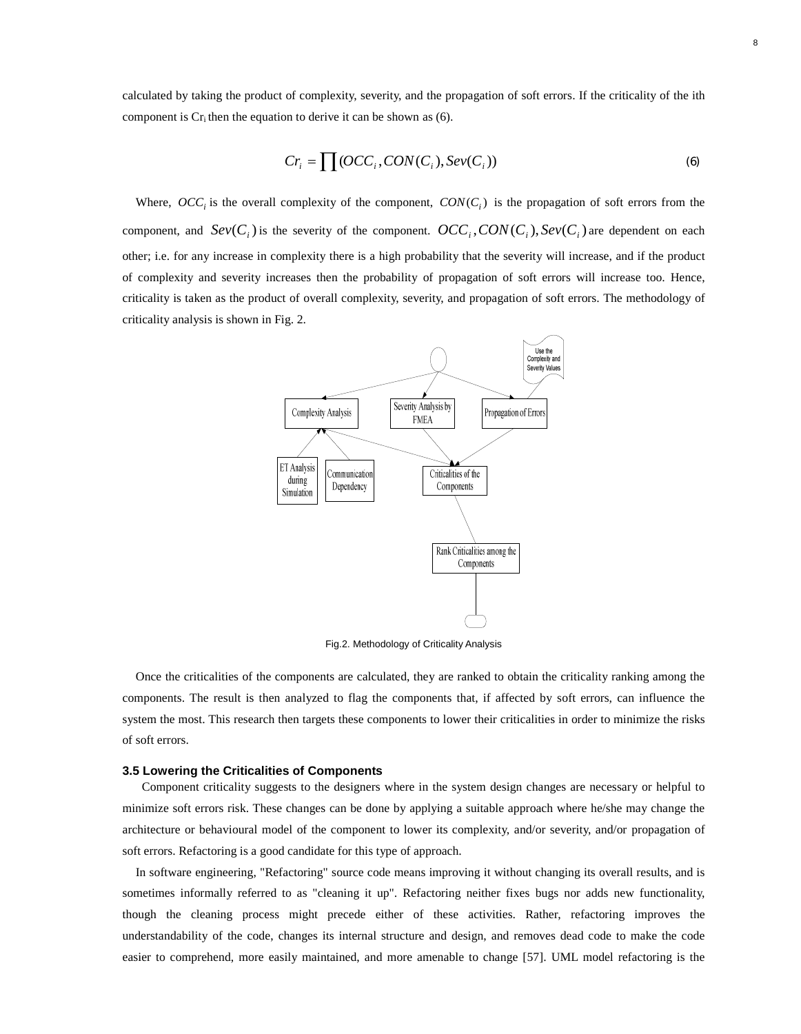calculated by taking the product of complexity, severity, and the propagation of soft errors. If the criticality of the ith component is  $Cr_i$  then the equation to derive it can be shown as (6).

$$
Cr_i = \prod (OCC_i, CON(C_i), Sev(C_i))
$$
\n(6)

Where,  $OCC_i$  is the overall complexity of the component,  $CON(C_i)$  is the propagation of soft errors from the component, and  $Sev(C_i)$  is the severity of the component.  $OCC_i$ ,  $CON(C_i)$ ,  $Sev(C_i)$  are dependent on each other; i.e. for any increase in complexity there is a high probability that the severity will increase, and if the product of complexity and severity increases then the probability of propagation of soft errors will increase too. Hence, criticality is taken as the product of overall complexity, severity, and propagation of soft errors. The methodology of criticality analysis is shown in Fig. 2.



Fig.2. Methodology of Criticality Analysis

Once the criticalities of the components are calculated, they are ranked to obtain the criticality ranking among the components. The result is then analyzed to flag the components that, if affected by soft errors, can influence the system the most. This research then targets these components to lower their criticalities in order to minimize the risks of soft errors.

## **3.5 Lowering the Criticalities of Components**

Component criticality suggests to the designers where in the system design changes are necessary or helpful to minimize soft errors risk. These changes can be done by applying a suitable approach where he/she may change the architecture or behavioural model of the component to lower its complexity, and/or severity, and/or propagation of soft errors. Refactoring is a good candidate for this type of approach.

In software engineering, "Refactoring" source code means improving it without changing its overall results, and is sometimes informally referred to as "cleaning it up". Refactoring neither fixes bugs nor adds new functionality, though the cleaning process might precede either of these activities. Rather, refactoring improves the understandability of the code, changes its internal structure and design, and removes dead code to make the code easier to comprehend, more easily maintained, and more amenable to change [57]. UML model refactoring is the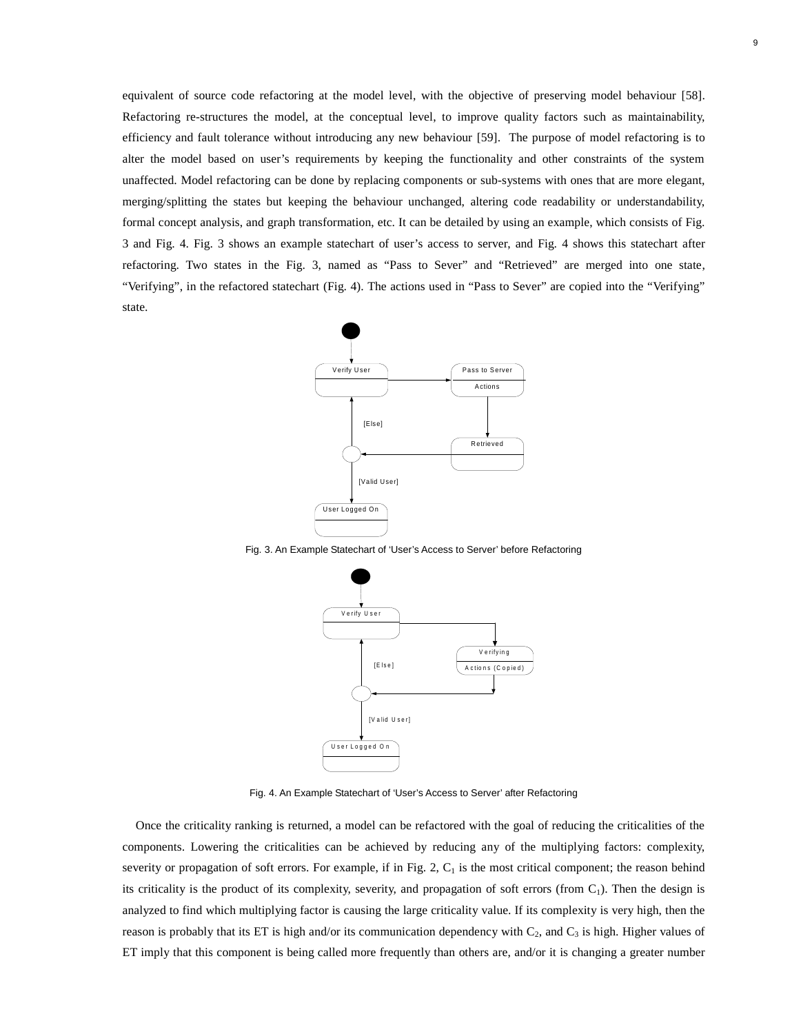equivalent of source code refactoring at the model level, with the objective of preserving model behaviour [58]. Refactoring re-structures the model, at the conceptual level, to improve quality factors such as maintainability, efficiency and fault tolerance without introducing any new behaviour [59]. The purpose of model refactoring is to alter the model based on user's requirements by keeping the functionality and other constraints of the system unaffected. Model refactoring can be done by replacing components or sub-systems with ones that are more elegant, merging/splitting the states but keeping the behaviour unchanged, altering code readability or understandability, formal concept analysis, and graph transformation, etc. It can be detailed by using an example, which consists of Fig. 3 and Fig. 4. Fig. 3 shows an example statechart of user's access to server, and Fig. 4 shows this statechart after refactoring. Two states in the Fig. 3, named as "Pass to Sever" and "Retrieved" are merged into one state, "Verifying", in the refactored statechart (Fig. 4). The actions used in "Pass to Sever" are copied into the "Verifying" state.



Fig. 3. An Example Statechart of 'User's Access to Server' before Refactoring



Fig. 4. An Example Statechart of 'User's Access to Server' after Refactoring

Once the criticality ranking is returned, a model can be refactored with the goal of reducing the criticalities of the components. Lowering the criticalities can be achieved by reducing any of the multiplying factors: complexity, severity or propagation of soft errors. For example, if in Fig. 2,  $C_1$  is the most critical component; the reason behind its criticality is the product of its complexity, severity, and propagation of soft errors (from  $C_1$ ). Then the design is analyzed to find which multiplying factor is causing the large criticality value. If its complexity is very high, then the reason is probably that its ET is high and/or its communication dependency with  $C_2$ , and  $C_3$  is high. Higher values of ET imply that this component is being called more frequently than others are, and/or it is changing a greater number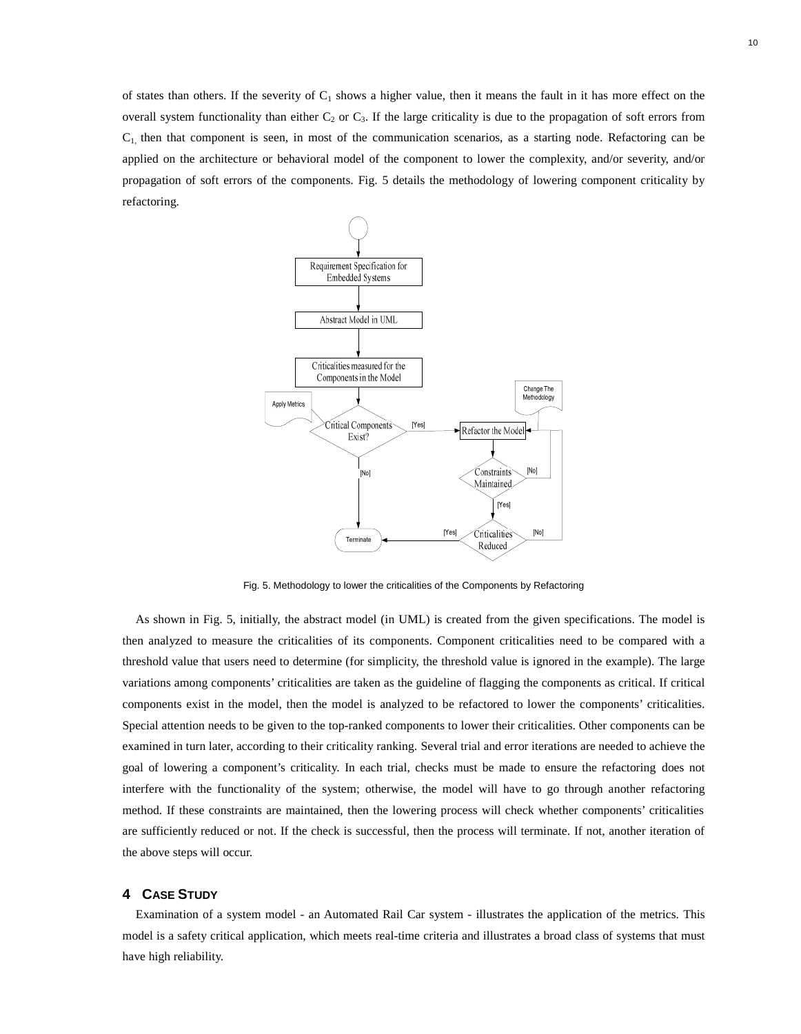of states than others. If the severity of  $C_1$  shows a higher value, then it means the fault in it has more effect on the overall system functionality than either  $C_2$  or  $C_3$ . If the large criticality is due to the propagation of soft errors from  $C_1$ , then that component is seen, in most of the communication scenarios, as a starting node. Refactoring can be applied on the architecture or behavioral model of the component to lower the complexity, and/or severity, and/or propagation of soft errors of the components. Fig. 5 details the methodology of lowering component criticality by refactoring.



Fig. 5. Methodology to lower the criticalities of the Components by Refactoring

As shown in Fig. 5, initially, the abstract model (in UML) is created from the given specifications. The model is then analyzed to measure the criticalities of its components. Component criticalities need to be compared with a threshold value that users need to determine (for simplicity, the threshold value is ignored in the example). The large variations among components' criticalities are taken as the guideline of flagging the components as critical. If critical components exist in the model, then the model is analyzed to be refactored to lower the components' criticalities. Special attention needs to be given to the top-ranked components to lower their criticalities. Other components can be examined in turn later, according to their criticality ranking. Several trial and error iterations are needed to achieve the goal of lowering a component's criticality. In each trial, checks must be made to ensure the refactoring does not interfere with the functionality of the system; otherwise, the model will have to go through another refactoring method. If these constraints are maintained, then the lowering process will check whether components' criticalities are sufficiently reduced or not. If the check is successful, then the process will terminate. If not, another iteration of the above steps will occur.

# **4 CASE STUDY**

Examination of a system model - an Automated Rail Car system - illustrates the application of the metrics. This model is a safety critical application, which meets real-time criteria and illustrates a broad class of systems that must have high reliability.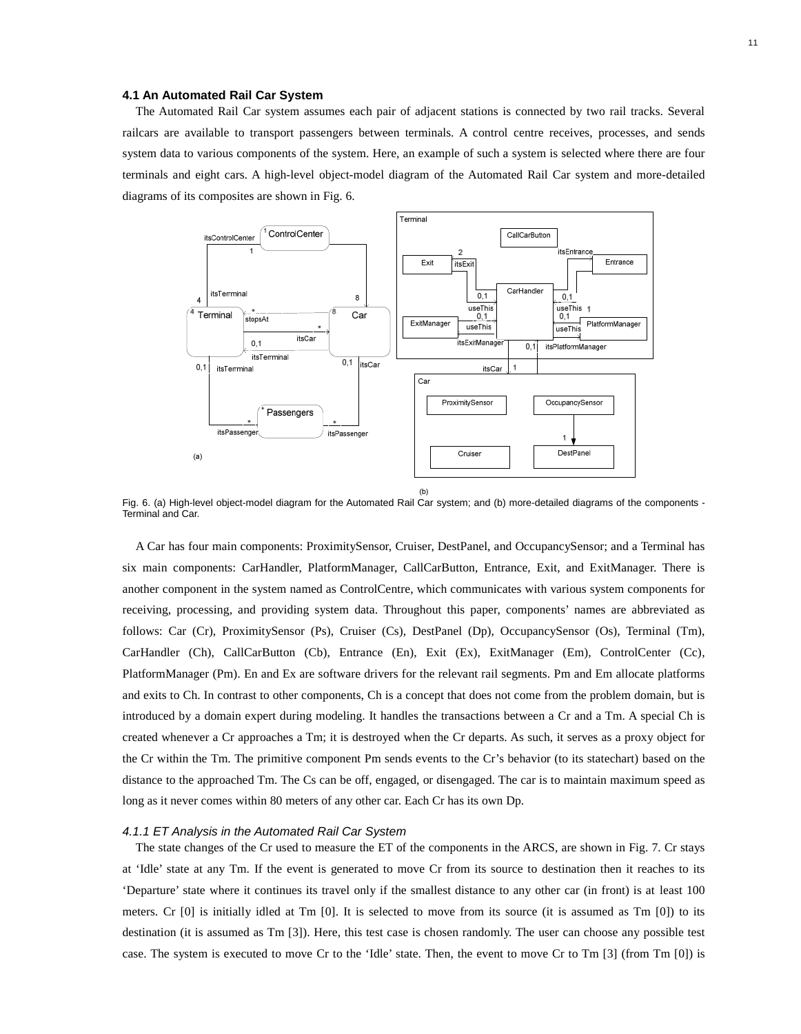## **4.1 An Automated Rail Car System**

The Automated Rail Car system assumes each pair of adjacent stations is connected by two rail tracks. Several railcars are available to transport passengers between terminals. A control centre receives, processes, and sends system data to various components of the system. Here, an example of such a system is selected where there are four terminals and eight cars. A high-level object-model diagram of the Automated Rail Car system and more-detailed diagrams of its composites are shown in Fig. 6.



Fig. 6. (a) High-level object-model diagram for the Automated Rail Car system; and (b) more-detailed diagrams of the components - Terminal and Car.

A Car has four main components: ProximitySensor, Cruiser, DestPanel, and OccupancySensor; and a Terminal has six main components: CarHandler, PlatformManager, CallCarButton, Entrance, Exit, and ExitManager. There is another component in the system named as ControlCentre, which communicates with various system components for receiving, processing, and providing system data. Throughout this paper, components' names are abbreviated as follows: Car (Cr), ProximitySensor (Ps), Cruiser (Cs), DestPanel (Dp), OccupancySensor (Os), Terminal (Tm), CarHandler (Ch), CallCarButton (Cb), Entrance (En), Exit (Ex), ExitManager (Em), ControlCenter (Cc), PlatformManager (Pm). En and Ex are software drivers for the relevant rail segments. Pm and Em allocate platforms and exits to Ch. In contrast to other components, Ch is a concept that does not come from the problem domain, but is introduced by a domain expert during modeling. It handles the transactions between a Cr and a Tm. A special Ch is created whenever a Cr approaches a Tm; it is destroyed when the Cr departs. As such, it serves as a proxy object for the Cr within the Tm. The primitive component Pm sends events to the Cr's behavior (to its statechart) based on the distance to the approached Tm. The Cs can be off, engaged, or disengaged. The car is to maintain maximum speed as long as it never comes within 80 meters of any other car. Each Cr has its own Dp.

## 4.1.1 ET Analysis in the Automated Rail Car System

The state changes of the Cr used to measure the ET of the components in the ARCS, are shown in Fig. 7. Cr stays at 'Idle' state at any Tm. If the event is generated to move Cr from its source to destination then it reaches to its 'Departure' state where it continues its travel only if the smallest distance to any other car (in front) is at least 100 meters. Cr [0] is initially idled at Tm [0]. It is selected to move from its source (it is assumed as Tm [0]) to its destination (it is assumed as Tm [3]). Here, this test case is chosen randomly. The user can choose any possible test case. The system is executed to move Cr to the 'Idle' state. Then, the event to move Cr to Tm [3] (from Tm [0]) is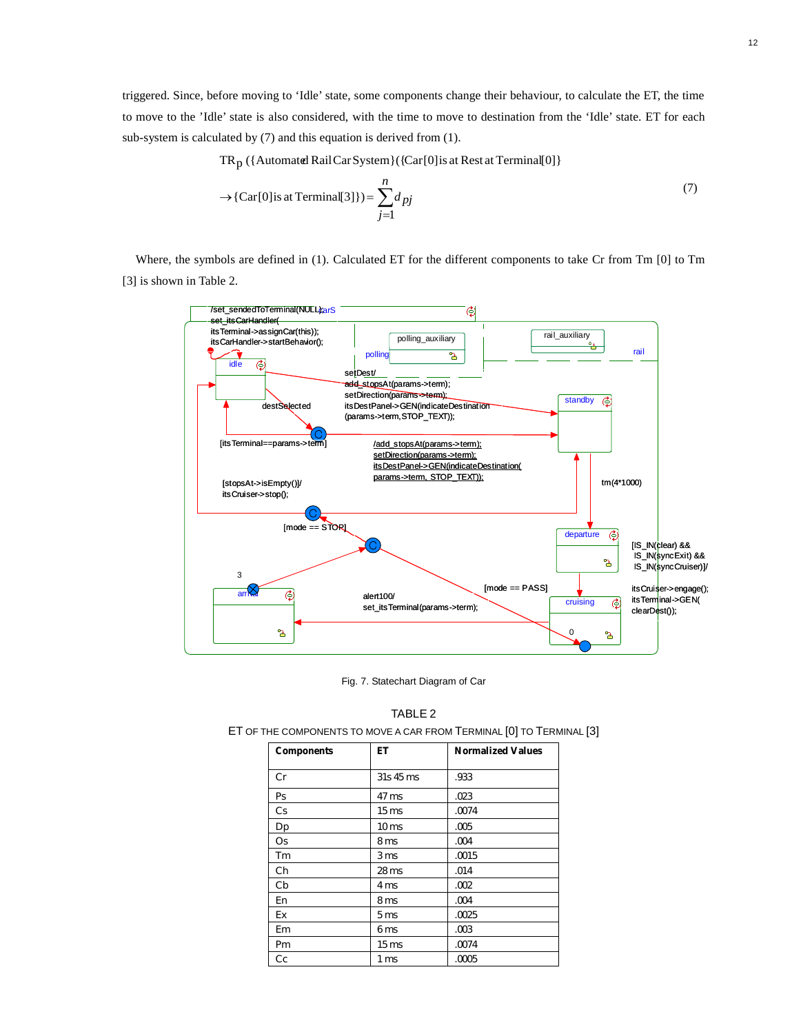triggered. Since, before moving to 'Idle' state, some components change their behaviour, to calculate the ET, the time to move to the 'Idle' state is also considered, with the time to move to destination from the 'Idle' state. ET for each sub-system is calculated by (7) and this equation is derived from (1).

TRp ({Automated RailCarSystem}({Car[0]is at Rest at Terminal[0]}

$$
\rightarrow \{Car[0] \text{ is at Terminal}[3] \}) = \sum_{j=1}^{n} d_{pj} \tag{7}
$$

Where, the symbols are defined in (1). Calculated ET for the different components to take Cr from Tm [0] to Tm [3] is shown in Table 2.



Fig. 7. Statechart Diagram of Car

TABLE 2

| Components | ET               | Normalized Values |
|------------|------------------|-------------------|
| Cr         | 31s 45 ms        | .933              |
| Ps         | $47 \text{ ms}$  | .023              |
| Cs         | $15 \text{ ms}$  | .0074             |
| Dp         | $10 \mathrm{ms}$ | .005              |
| <b>Os</b>  | 8 ms             | .004              |
| Tm         | 3 <sub>ms</sub>  | .0015             |
| Ch         | 28 ms            | .014              |
| Cb         | 4 ms             | .002              |
| En         | 8 ms             | .004              |
| Ex         | 5 <sub>ms</sub>  | .0025             |
| Em         | 6 ms             | .003              |
| Pm         | $15 \text{ ms}$  | .0074             |
| Cc         | 1 ms             | .0005             |

ET OF THE COMPONENTS TO MOVE A CAR FROM TERMINAL [0] TO TERMINAL [3]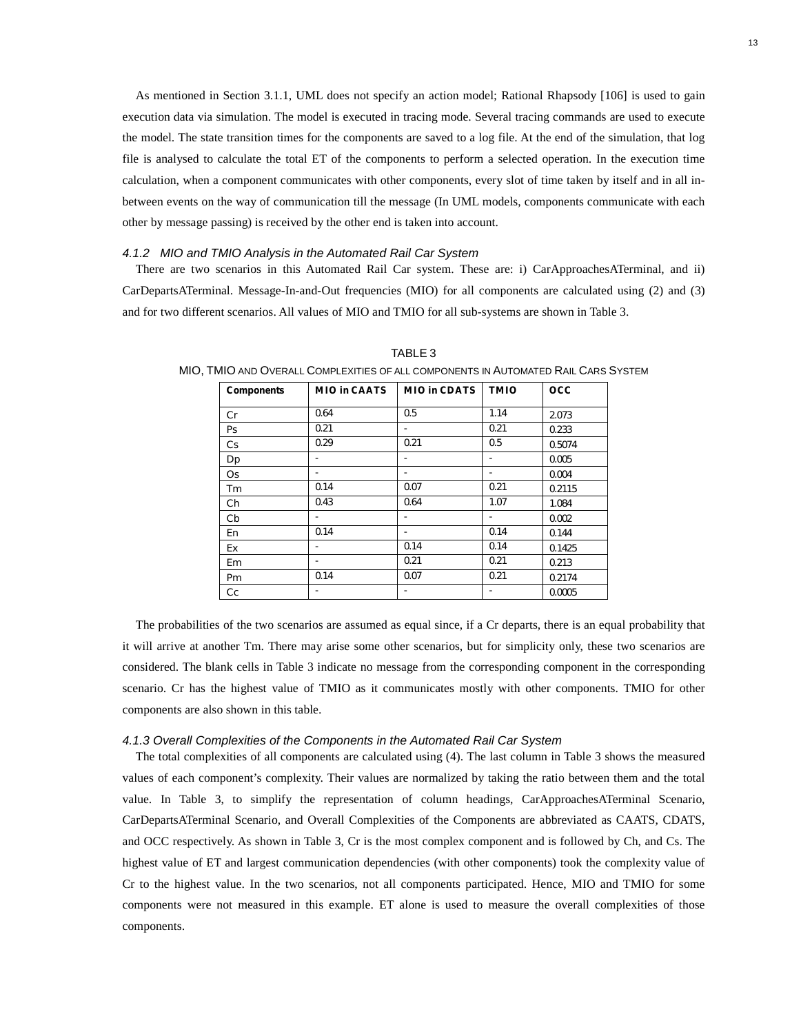As mentioned in Section 3.1.1, UML does not specify an action model; Rational Rhapsody [106] is used to gain execution data via simulation. The model is executed in tracing mode. Several tracing commands are used to execute the model. The state transition times for the components are saved to a log file. At the end of the simulation, that log file is analysed to calculate the total ET of the components to perform a selected operation. In the execution time calculation, when a component communicates with other components, every slot of time taken by itself and in all inbetween events on the way of communication till the message (In UML models, components communicate with each other by message passing) is received by the other end is taken into account.

#### 4.1.2 MIO and TMIO Analysis in the Automated Rail Car System

There are two scenarios in this Automated Rail Car system. These are: i) CarApproachesATerminal, and ii) CarDepartsATerminal. Message-In-and-Out frequencies (MIO) for all components are calculated using (2) and (3) and for two different scenarios. All values of MIO and TMIO for all sub-systems are shown in Table 3.

| Components | MIO in CAATS | MIO in CDATS | <b>TMIO</b> | <b>OCC</b> |
|------------|--------------|--------------|-------------|------------|
| Cr         | 0.64         | 0.5          | 1.14        | 2.073      |
| <b>Ps</b>  | 0.21         |              | 0.21        | 0.233      |
| Cs         | 0.29         | 0.21         | 0.5         | 0.5074     |
| Dp         |              |              | ٠           | 0.005      |
| Os         |              |              | ٠           | 0.004      |
| Tm         | 0.14         | 0.07         | 0.21        | 0.2115     |
| Ch         | 0.43         | 0.64         | 1.07        | 1.084      |
| Cb         | ٠            | ٠            | ٠           | 0.002      |
| En         | 0.14         |              | 0.14        | 0.144      |
| Ex         | ٠            | 0.14         | 0.14        | 0.1425     |
| Em         |              | 0.21         | 0.21        | 0.213      |
| Pm         | 0.14         | 0.07         | 0.21        | 0.2174     |
| Cc         |              |              |             | 0.0005     |

TABLE 3 MIO, TMIO AND OVERALL COMPLEXITIES OF ALL COMPONENTS IN AUTOMATED RAIL CARS SYSTEM

The probabilities of the two scenarios are assumed as equal since, if a Cr departs, there is an equal probability that it will arrive at another Tm. There may arise some other scenarios, but for simplicity only, these two scenarios are considered. The blank cells in Table 3 indicate no message from the corresponding component in the corresponding scenario. Cr has the highest value of TMIO as it communicates mostly with other components. TMIO for other components are also shown in this table.

#### 4.1.3 Overall Complexities of the Components in the Automated Rail Car System

The total complexities of all components are calculated using (4). The last column in Table 3 shows the measured values of each component's complexity. Their values are normalized by taking the ratio between them and the total value. In Table 3, to simplify the representation of column headings, CarApproachesATerminal Scenario, CarDepartsATerminal Scenario, and Overall Complexities of the Components are abbreviated as CAATS, CDATS, and OCC respectively. As shown in Table 3, Cr is the most complex component and is followed by Ch, and Cs. The highest value of ET and largest communication dependencies (with other components) took the complexity value of Cr to the highest value. In the two scenarios, not all components participated. Hence, MIO and TMIO for some components were not measured in this example. ET alone is used to measure the overall complexities of those components.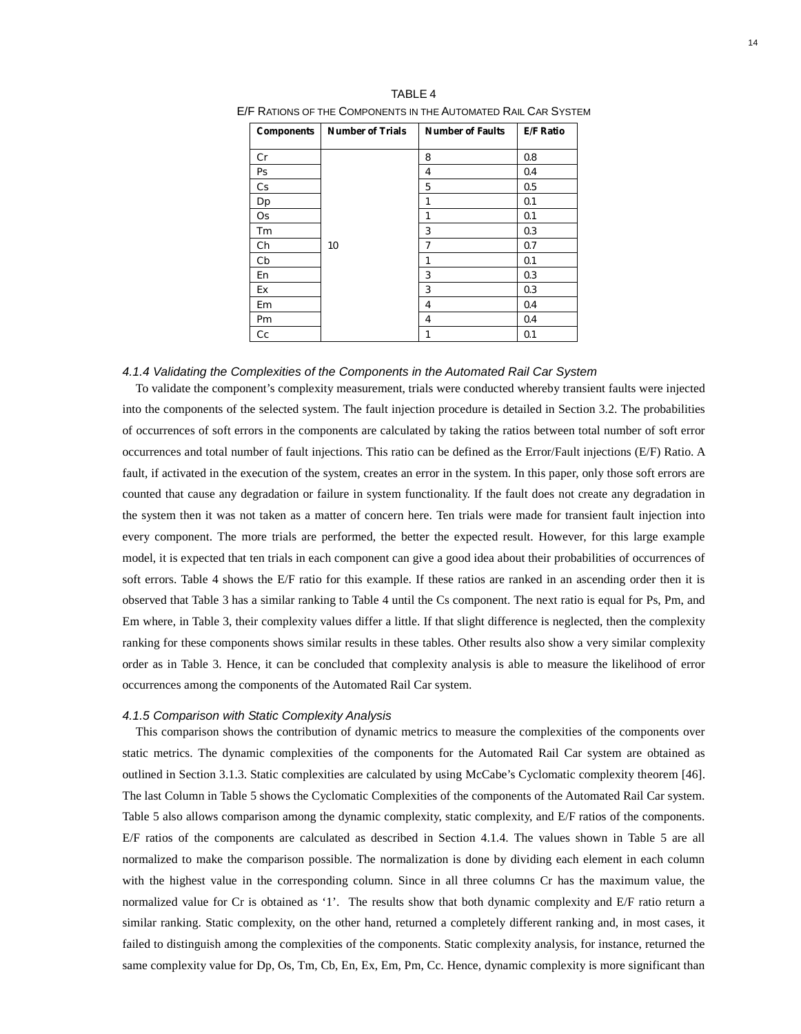| Components | Number of Trials | Number of Faults | E/F Ratio |
|------------|------------------|------------------|-----------|
| Cr         |                  | 8                | 0.8       |
| Ps         |                  | 4                | 0.4       |
| Cs         |                  | 5                | 0.5       |
| Dp         |                  | 1                | 0.1       |
| Os         |                  | 1                | 0.1       |
| Tm         |                  | 3                | 0.3       |
| Ch         | 10               | 7                | 0.7       |
| Cb         |                  | 1                | 0.1       |
| En         |                  | 3                | 0.3       |
| Ex         |                  | 3                | 0.3       |
| Em         |                  | 4                | 0.4       |
| Pm         |                  | 4                | 0.4       |
| Cc         |                  | 1                | 0.1       |

TABLE 4 E/F RATIONS OF THE COMPONENTS IN THE AUTOMATED RAIL CAR SYSTEM

## 4.1.4 Validating the Complexities of the Components in the Automated Rail Car System

To validate the component's complexity measurement, trials were conducted whereby transient faults were injected into the components of the selected system. The fault injection procedure is detailed in Section 3.2. The probabilities of occurrences of soft errors in the components are calculated by taking the ratios between total number of soft error occurrences and total number of fault injections. This ratio can be defined as the Error/Fault injections (E/F) Ratio. A fault, if activated in the execution of the system, creates an error in the system. In this paper, only those soft errors are counted that cause any degradation or failure in system functionality. If the fault does not create any degradation in the system then it was not taken as a matter of concern here. Ten trials were made for transient fault injection into every component. The more trials are performed, the better the expected result. However, for this large example model, it is expected that ten trials in each component can give a good idea about their probabilities of occurrences of soft errors. Table 4 shows the E/F ratio for this example. If these ratios are ranked in an ascending order then it is observed that Table 3 has a similar ranking to Table 4 until the Cs component. The next ratio is equal for Ps, Pm, and Em where, in Table 3, their complexity values differ a little. If that slight difference is neglected, then the complexity ranking for these components shows similar results in these tables. Other results also show a very similar complexity order as in Table 3. Hence, it can be concluded that complexity analysis is able to measure the likelihood of error occurrences among the components of the Automated Rail Car system.

#### 4.1.5 Comparison with Static Complexity Analysis

This comparison shows the contribution of dynamic metrics to measure the complexities of the components over static metrics. The dynamic complexities of the components for the Automated Rail Car system are obtained as outlined in Section 3.1.3. Static complexities are calculated by using McCabe's Cyclomatic complexity theorem [46]. The last Column in Table 5 shows the Cyclomatic Complexities of the components of the Automated Rail Car system. Table 5 also allows comparison among the dynamic complexity, static complexity, and E/F ratios of the components. E/F ratios of the components are calculated as described in Section 4.1.4. The values shown in Table 5 are all normalized to make the comparison possible. The normalization is done by dividing each element in each column with the highest value in the corresponding column. Since in all three columns Cr has the maximum value, the normalized value for Cr is obtained as '1'. The results show that both dynamic complexity and E/F ratio return a similar ranking. Static complexity, on the other hand, returned a completely different ranking and, in most cases, it failed to distinguish among the complexities of the components. Static complexity analysis, for instance, returned the same complexity value for Dp, Os, Tm, Cb, En, Ex, Em, Pm, Cc. Hence, dynamic complexity is more significant than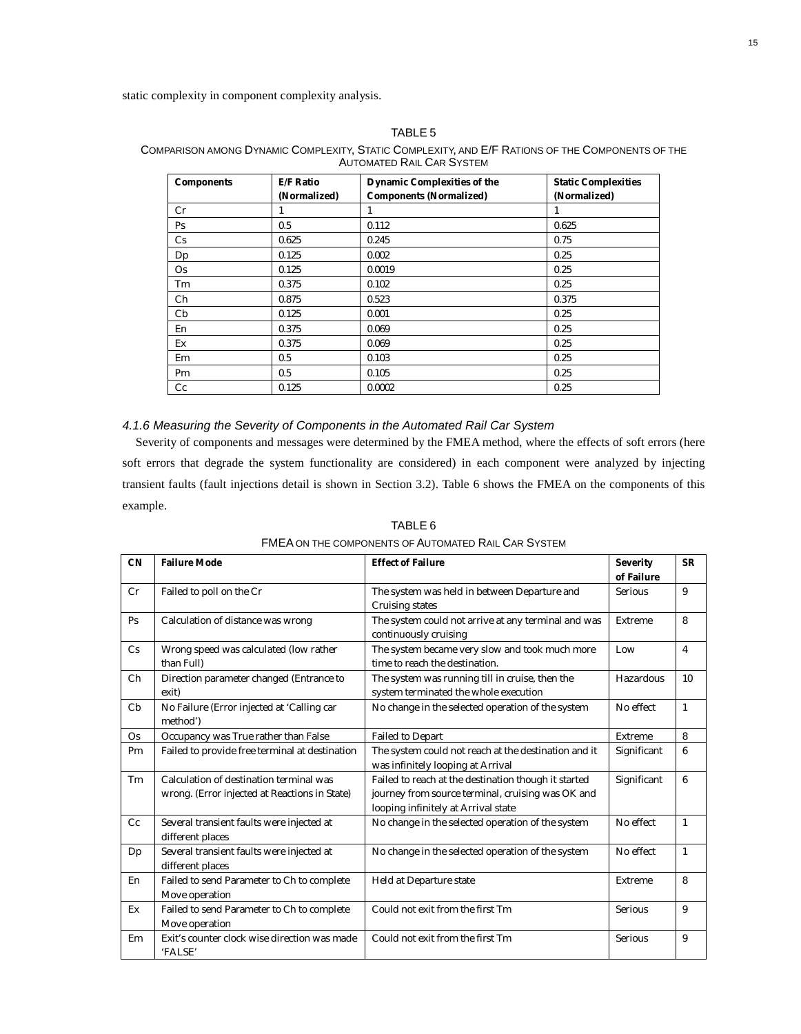static complexity in component complexity analysis.

# TABLE 5

COMPARISON AMONG DYNAMIC COMPLEXITY, STATIC COMPLEXITY, AND E/F RATIONS OF THE COMPONENTS OF THE AUTOMATED RAIL CAR SYSTEM

| Components | E/F Ratio    | Dynamic Complexities of the | <b>Static Complexities</b> |
|------------|--------------|-----------------------------|----------------------------|
|            | (Normalized) | Components (Normalized)     | (Normalized)               |
| Cr         |              |                             |                            |
| <b>Ps</b>  | 0.5          | 0.112                       | 0.625                      |
| Cs         | 0.625        | 0.245                       | 0.75                       |
| Dp         | 0.125        | 0.002                       | 0.25                       |
| Os.        | 0.125        | 0.0019                      | 0.25                       |
| Тm         | 0.375        | 0.102                       | 0.25                       |
| Ch         | 0.875        | 0.523                       | 0.375                      |
| Cb         | 0.125        | 0.001                       | 0.25                       |
| En         | 0.375        | 0.069                       | 0.25                       |
| Ex         | 0.375        | 0.069                       | 0.25                       |
| Em         | 0.5          | 0.103                       | 0.25                       |
| Pm         | 0.5          | 0.105                       | 0.25                       |
| Cc         | 0.125        | 0.0002                      | 0.25                       |

# 4.1.6 Measuring the Severity of Components in the Automated Rail Car System

Severity of components and messages were determined by the FMEA method, where the effects of soft errors (here soft errors that degrade the system functionality are considered) in each component were analyzed by injecting transient faults (fault injections detail is shown in Section 3.2). Table 6 shows the FMEA on the components of this example.

| CN | Failure Mode                                                                             | <b>Effect of Failure</b>                                                                                                                         | Severity<br>of Failure | <b>SR</b>      |
|----|------------------------------------------------------------------------------------------|--------------------------------------------------------------------------------------------------------------------------------------------------|------------------------|----------------|
| Cr | Failed to poll on the Cr                                                                 | The system was held in between Departure and<br>Cruising states                                                                                  | Serious                | 9              |
| Ps | Calculation of distance was wrong                                                        | The system could not arrive at any terminal and was<br>continuously cruising                                                                     | Extreme                | 8              |
| Cs | Wrong speed was calculated (low rather<br>than Full)                                     | The system became very slow and took much more<br>time to reach the destination.                                                                 | Low                    | $\overline{4}$ |
| Ch | Direction parameter changed (Entrance to<br>exit)                                        | The system was running till in cruise, then the<br>system terminated the whole execution                                                         | Hazardous              | 10             |
| Cb | No Failure (Error injected at 'Calling car<br>method')                                   | No change in the selected operation of the system                                                                                                | No effect              | $\mathbf{1}$   |
| Os | Occupancy was True rather than False                                                     | <b>Failed to Depart</b>                                                                                                                          | Extreme                | 8              |
| Pm | Failed to provide free terminal at destination                                           | The system could not reach at the destination and it<br>was infinitely looping at Arrival                                                        | Significant            | 6              |
| Tm | Calculation of destination terminal was<br>wrong. (Error injected at Reactions in State) | Failed to reach at the destination though it started<br>journey from source terminal, cruising was OK and<br>looping infinitely at Arrival state | Significant            | 6              |
| Cc | Several transient faults were injected at<br>different places                            | No change in the selected operation of the system                                                                                                | No effect              | 1              |
| Dp | Several transient faults were injected at<br>different places                            | No change in the selected operation of the system                                                                                                | No effect              | $\mathbf{1}$   |
| En | Failed to send Parameter to Ch to complete<br>Move operation                             | Held at Departure state                                                                                                                          | Extreme                | 8              |
| Ex | Failed to send Parameter to Ch to complete<br>Move operation                             | Could not exit from the first Tm                                                                                                                 | Serious                | 9              |
| Em | Exit's counter clock wise direction was made<br>'FALSE'                                  | Could not exit from the first Tm                                                                                                                 | Serious                | 9              |

# TABLE 6 FMEA ON THE COMPONENTS OF AUTOMATED RAIL CAR SYSTEM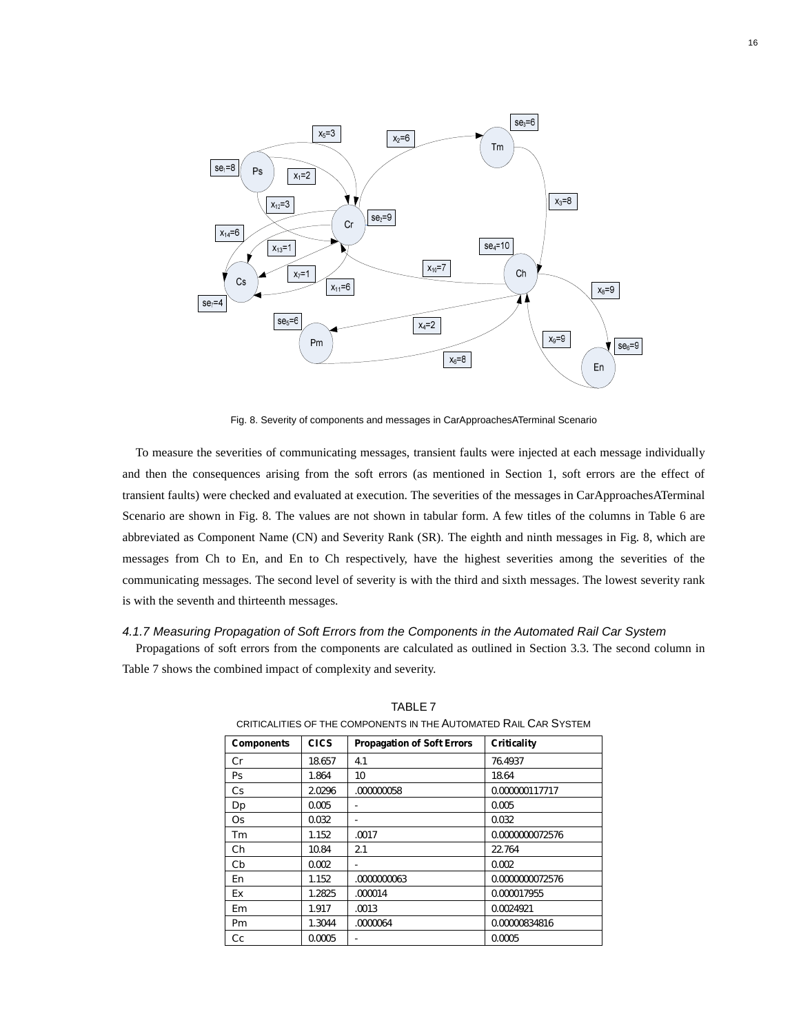

Fig. 8. Severity of components and messages in CarApproachesATerminal Scenario

To measure the severities of communicating messages, transient faults were injected at each message individually and then the consequences arising from the soft errors (as mentioned in Section 1, soft errors are the effect of transient faults) were checked and evaluated at execution. The severities of the messages in CarApproachesATerminal Scenario are shown in Fig. 8. The values are not shown in tabular form. A few titles of the columns in Table 6 are abbreviated as Component Name (CN) and Severity Rank (SR). The eighth and ninth messages in Fig. 8, which are messages from Ch to En, and En to Ch respectively, have the highest severities among the severities of the communicating messages. The second level of severity is with the third and sixth messages. The lowest severity rank is with the seventh and thirteenth messages.

# 4.1.7 Measuring Propagation of Soft Errors from the Components in the Automated Rail Car System

Propagations of soft errors from the components are calculated as outlined in Section 3.3. The second column in Table 7 shows the combined impact of complexity and severity.

| Components | <b>CICS</b> | Propagation of Soft Errors | Criticality     |
|------------|-------------|----------------------------|-----------------|
| Cr         | 18.657      | 4.1                        | 76.4937         |
| Ps         | 1.864       | 10                         | 18.64           |
| Cs         | 2.0296      | .000000058                 | 0.000000117717  |
| Dp         | 0.005       |                            | 0.005           |
| Os         | 0.032       | ٠                          | 0.032           |
| Tm         | 1.152       | .0017                      | 0.0000000072576 |
| Ch         | 10.84       | 2.1                        | 22.764          |
| Ch         | 0.002       | ٠                          | 0.002           |
| En         | 1.152       | .0000000063                | 0.0000000072576 |
| Ex         | 1.2825      | .000014                    | 0.000017955     |
| Em         | 1.917       | .0013                      | 0.0024921       |
| Pm         | 1.3044      | .0000064                   | 0.00000834816   |
| Cc         | 0.0005      | ٠                          | 0.0005          |

TABLE 7 CRITICALITIES OF THE COMPONENTS IN THE AUTOMATED RAIL CAR SYSTEM

16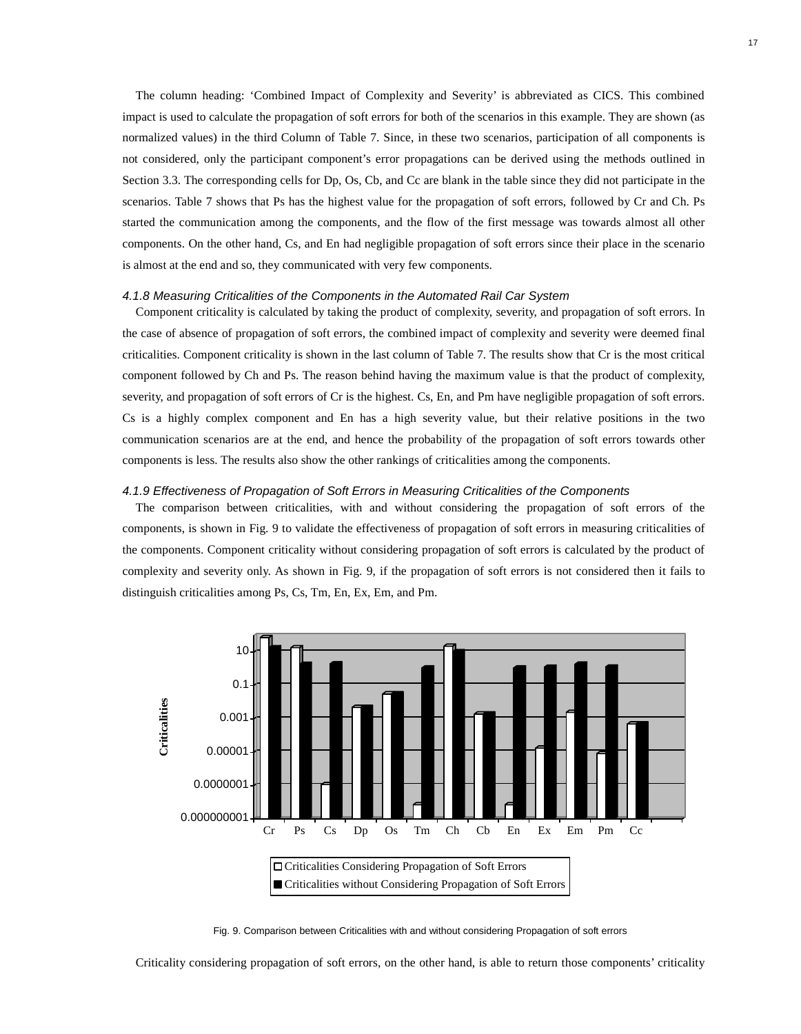The column heading: 'Combined Impact of Complexity and Severity' is abbreviated as CICS. This combined impact is used to calculate the propagation of soft errors for both of the scenarios in this example. They are shown (as normalized values) in the third Column of Table 7. Since, in these two scenarios, participation of all components is not considered, only the participant component's error propagations can be derived using the methods outlined in Section 3.3. The corresponding cells for Dp, Os, Cb, and Cc are blank in the table since they did not participate in the scenarios. Table 7 shows that Ps has the highest value for the propagation of soft errors, followed by Cr and Ch. Ps started the communication among the components, and the flow of the first message was towards almost all other components. On the other hand, Cs, and En had negligible propagation of soft errors since their place in the scenario is almost at the end and so, they communicated with very few components.

## 4.1.8 Measuring Criticalities of the Components in the Automated Rail Car System

Component criticality is calculated by taking the product of complexity, severity, and propagation of soft errors. In the case of absence of propagation of soft errors, the combined impact of complexity and severity were deemed final criticalities. Component criticality is shown in the last column of Table 7. The results show that Cr is the most critical component followed by Ch and Ps. The reason behind having the maximum value is that the product of complexity, severity, and propagation of soft errors of Cr is the highest. Cs, En, and Pm have negligible propagation of soft errors. Cs is a highly complex component and En has a high severity value, but their relative positions in the two communication scenarios are at the end, and hence the probability of the propagation of soft errors towards other components is less. The results also show the other rankings of criticalities among the components.

## 4.1.9 Effectiveness of Propagation of Soft Errors in Measuring Criticalities of the Components

The comparison between criticalities, with and without considering the propagation of soft errors of the components, is shown in Fig. 9 to validate the effectiveness of propagation of soft errors in measuring criticalities of the components. Component criticality without considering propagation of soft errors is calculated by the product of complexity and severity only. As shown in Fig. 9, if the propagation of soft errors is not considered then it fails to distinguish criticalities among Ps, Cs, Tm, En, Ex, Em, and Pm.



Fig. 9. Comparison between Criticalities with and without considering Propagation of soft errors

Criticality considering propagation of soft errors, on the other hand, is able to return those components' criticality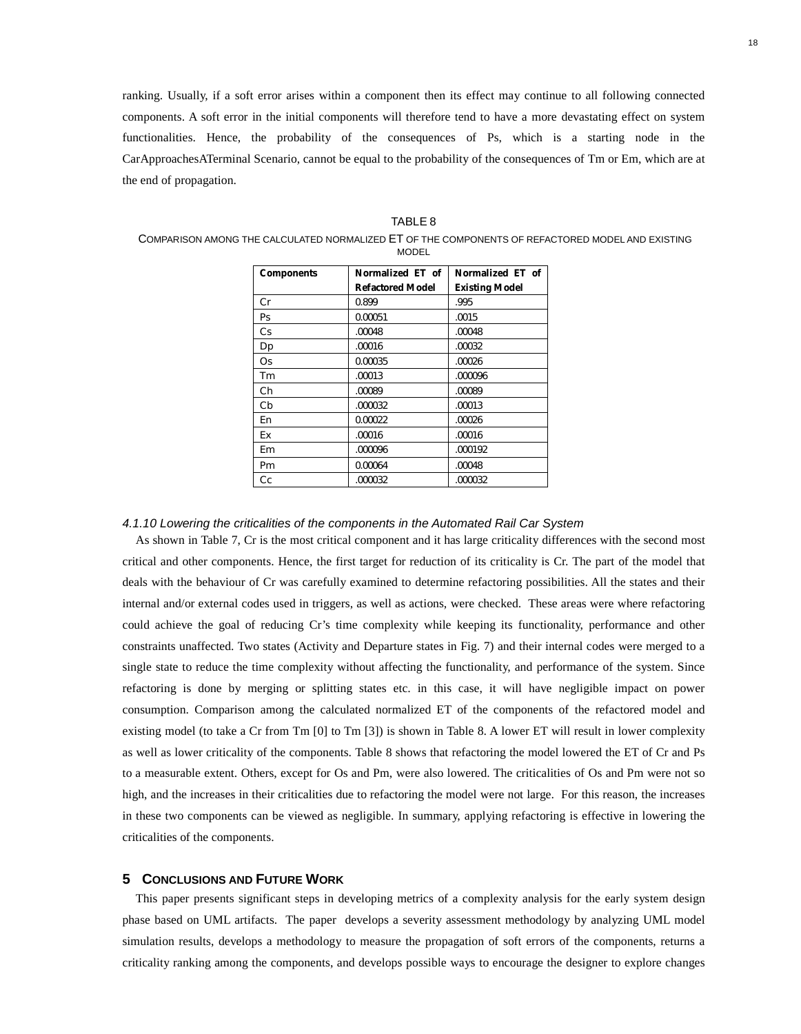ranking. Usually, if a soft error arises within a component then its effect may continue to all following connected components. A soft error in the initial components will therefore tend to have a more devastating effect on system functionalities. Hence, the probability of the consequences of Ps, which is a starting node in the CarApproachesATerminal Scenario, cannot be equal to the probability of the consequences of Tm or Em, which are at the end of propagation.

| <b>MODEL</b> |                  |                                     |
|--------------|------------------|-------------------------------------|
| Components   |                  | Normalized ET of   Normalized ET of |
|              | Refactored Model | <b>Existing Model</b>               |
| Сr           | 0.899            | .995                                |
| Ps           | 0.00051          | .0015                               |
| Cs           | .00048           | .00048                              |
| Dp           | .00016           | .00032                              |

TABLE 8

COMPARISON AMONG THE CALCULATED NORMALIZED ET OF THE COMPONENTS OF REFACTORED MODEL AND EXISTING

#### 4.1.10 Lowering the criticalities of the components in the Automated Rail Car System

Os 0.00035 .00026 Tm .00013 .000096 Ch .00089 .00089 Cb .000032 .00013 En 0.00022 0.00026 Ex .00016 .00016 Em .000096 .000192 Pm 0.00064 .00048 Cc .000032 .000032

As shown in Table 7, Cr is the most critical component and it has large criticality differences with the second most critical and other components. Hence, the first target for reduction of its criticality is Cr. The part of the model that deals with the behaviour of Cr was carefully examined to determine refactoring possibilities. All the states and their internal and/or external codes used in triggers, as well as actions, were checked. These areas were where refactoring could achieve the goal of reducing Cr's time complexity while keeping its functionality, performance and other constraints unaffected. Two states (Activity and Departure states in Fig. 7) and their internal codes were merged to a single state to reduce the time complexity without affecting the functionality, and performance of the system. Since refactoring is done by merging or splitting states etc. in this case, it will have negligible impact on power consumption. Comparison among the calculated normalized ET of the components of the refactored model and existing model (to take a Cr from Tm [0] to Tm [3]) is shown in Table 8. A lower ET will result in lower complexity as well as lower criticality of the components. Table 8 shows that refactoring the model lowered the ET of Cr and Ps to a measurable extent. Others, except for Os and Pm, were also lowered. The criticalities of Os and Pm were not so high, and the increases in their criticalities due to refactoring the model were not large. For this reason, the increases in these two components can be viewed as negligible. In summary, applying refactoring is effective in lowering the criticalities of the components.

# **5 CONCLUSIONS AND FUTURE WORK**

This paper presents significant steps in developing metrics of a complexity analysis for the early system design phase based on UML artifacts. The paper develops a severity assessment methodology by analyzing UML model simulation results, develops a methodology to measure the propagation of soft errors of the components, returns a criticality ranking among the components, and develops possible ways to encourage the designer to explore changes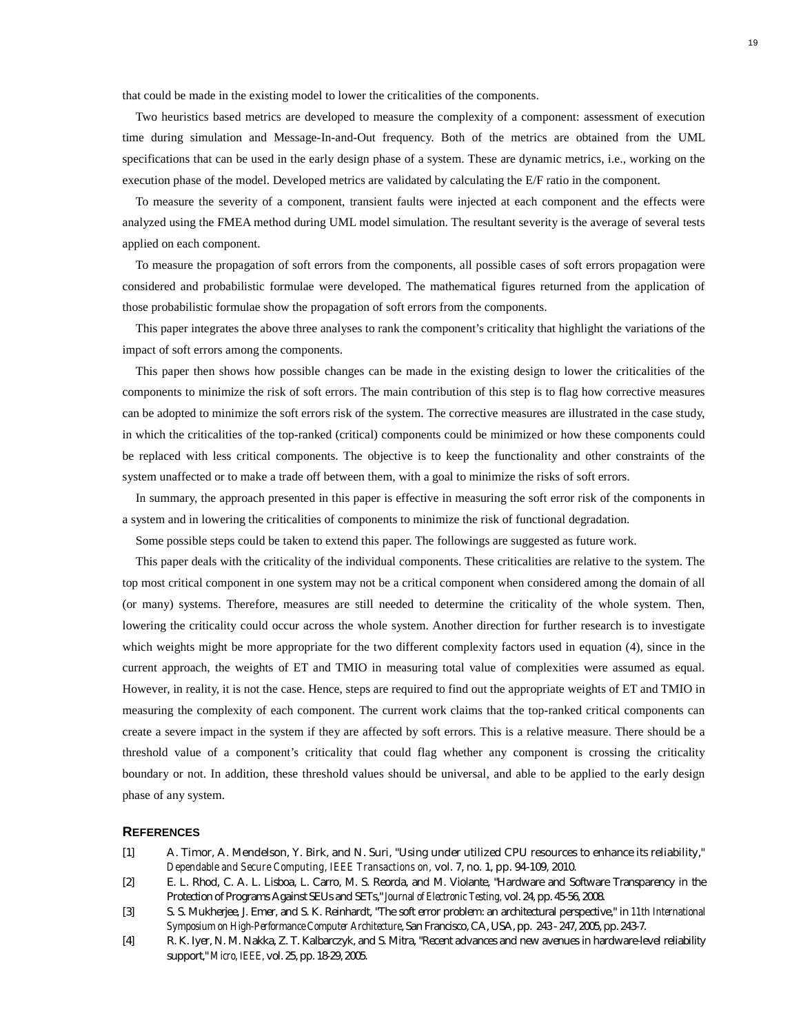that could be made in the existing model to lower the criticalities of the components.

Two heuristics based metrics are developed to measure the complexity of a component: assessment of execution time during simulation and Message-In-and-Out frequency. Both of the metrics are obtained from the UML specifications that can be used in the early design phase of a system. These are dynamic metrics, i.e., working on the execution phase of the model. Developed metrics are validated by calculating the E/F ratio in the component.

To measure the severity of a component, transient faults were injected at each component and the effects were analyzed using the FMEA method during UML model simulation. The resultant severity is the average of several tests applied on each component.

To measure the propagation of soft errors from the components, all possible cases of soft errors propagation were considered and probabilistic formulae were developed. The mathematical figures returned from the application of those probabilistic formulae show the propagation of soft errors from the components.

This paper integrates the above three analyses to rank the component's criticality that highlight the variations of the impact of soft errors among the components.

This paper then shows how possible changes can be made in the existing design to lower the criticalities of the components to minimize the risk of soft errors. The main contribution of this step is to flag how corrective measures can be adopted to minimize the soft errors risk of the system. The corrective measures are illustrated in the case study, in which the criticalities of the top-ranked (critical) components could be minimized or how these components could be replaced with less critical components. The objective is to keep the functionality and other constraints of the system unaffected or to make a trade off between them, with a goal to minimize the risks of soft errors.

In summary, the approach presented in this paper is effective in measuring the soft error risk of the components in a system and in lowering the criticalities of components to minimize the risk of functional degradation.

Some possible steps could be taken to extend this paper. The followings are suggested as future work.

This paper deals with the criticality of the individual components. These criticalities are relative to the system. The top most critical component in one system may not be a critical component when considered among the domain of all (or many) systems. Therefore, measures are still needed to determine the criticality of the whole system. Then, lowering the criticality could occur across the whole system. Another direction for further research is to investigate which weights might be more appropriate for the two different complexity factors used in equation (4), since in the current approach, the weights of ET and TMIO in measuring total value of complexities were assumed as equal. However, in reality, it is not the case. Hence, steps are required to find out the appropriate weights of ET and TMIO in measuring the complexity of each component. The current work claims that the top-ranked critical components can create a severe impact in the system if they are affected by soft errors. This is a relative measure. There should be a threshold value of a component's criticality that could flag whether any component is crossing the criticality boundary or not. In addition, these threshold values should be universal, and able to be applied to the early design phase of any system.

## **REFERENCES**

- [1] A. Timor, A. Mendelson, Y. Birk, and N. Suri, "Using under utilized CPU resources to enhance its reliability," *Dependable and Secure Computing, IEEE Transactions on,* vol. 7, no. 1, pp. 94-109, 2010.
- [2] E. L. Rhod, C. A. L. Lisboa, L. Carro, M. S. Reorda, and M. Violante, "Hardware and Software Transparency in the Protection of Programs Against SEUs and SETs,"*Journal of Electronic Testing,* vol. 24, pp. 45-56, 2008.
- [3] S. S. Mukherjee, J. Emer, and S. K. Reinhardt, "The soft error problem: an architectural perspective," in *11th International Symposium on High-Performance Computer Architecture*, San Francisco, CA, USA, pp. 243 - 247, 2005, pp. 243-7.
- [4] R. K. Iyer, N. M. Nakka, Z. T. Kalbarczyk, and S. Mitra, "Recent advances and new avenues in hardware-level reliability support," *Micro, IEEE,* vol. 25, pp. 18-29, 2005.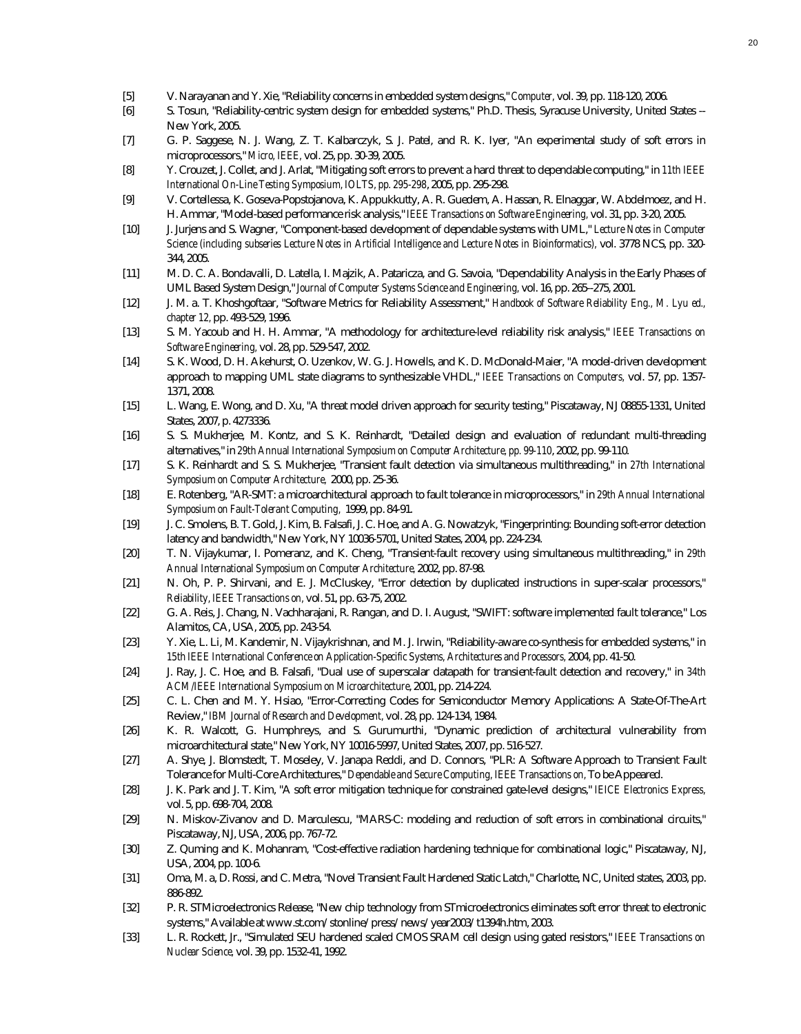- [5] V. Narayanan and Y. Xie, "Reliability concerns in embedded system designs,"Computer,vol. 39, pp. 118-120, 2006.
- [6] S. Tosun, "Reliability-centric system design for embedded systems," Ph.D. Thesis, Syracuse University, United States-- New York, 2005.
- [7] G. P. Saggese, N. J. Wang, Z. T. Kalbarczyk, S. J. Patel, and R. K. Iyer, "An experimtal study of soft errors in microprocessors,"Micro, IEEE,vol. 25, pp. 30-39, 2005.
- [8] Y. Crouzet, J. Collet, and J. Arlat, "Mitigating soft errors to prevent a hard threat to dependable computing," in 11th IEEE International On-Line Testing SymposiuntOLTS, pp. 295298, 2005, pp. 295298.
- [9] V. Cortellessa, K. GosevaPopstojanova, K. Appukkutty, A. R. Guedem, A. Hassan, R. Elnaggar, W. Abdelmoez, and H. H. Ammar, "Model -based performance risk analysis,"IEEE Transactions on Software Engineerivgl, 31, pp. 320, 2005.
- [10] J. Jurjens and S. Wagner, "Componenbased development of dependable systems with UML," Lecture Notes in Computer Science (including subseries Lecture Notes in Artificial Intelligence and Lecture Notes in Bioinformatites and Lecture Notes in Bioinformatites and Lecture Notes, and are stress and Lecture Notes in Bioinformatites and Sal 344, 2005.
- [11] M. D. C. A. Bondavalli, D. Latella, I. Majzik, A. Pataricza, and G. Savoia, "Dependability Analysis in the Early Phases of UML Based System Design,"Journal of Computer Systems Science and Engine ening6, pp. 265-275,2001.
- [12] J. M. a. T. Khoshgoftaar, "Software Metrics for Reliability Assessment,"Handbook of Software Reliability Eng., M. Lyu ed., chapter 12op. 493-529, 1996.
- [13] S. M. Yacoub and H. H. Ammar, "A methodology for architecture -level reliability risk analysis," IEEE Transactions on Software Engineering pl. 28, pp. 529547, 2002.
- [14] S. K. Wood, D. H. Akehurst, O. Uzenkov, W. G. J. Howells, and K. D. McDonald-Maier, "A model -driven development approach to mapping UML state diagrams to synthesizable VHDL," IEEE Transactions on Computers, 1. 57, pp. 1357-1371, 2008.
- [15] L. Wang, E. Wong, and D. Xu, "A threat model driven approach for security testing," Piscataway, NJ 08855-1331, United States, 2007, p. 4273336.
- [16] S. S. Mukherjee, M. Kontz, and S.K. Reinhardt, "Detailed design and evaluation of redundant multi -threading alternatives," in 29th Annual International Symposium on Computer Architecture, pp1 99 2002, pp. 99110.
- [17] S. K. Reinhardt and S. S. Mukherjee, "Transient fault detection va simultaneous multithreading," in 27th International Symposium on Computer Architectur<sub>2000</sub>, pp. 2536.
- [18] E. Rotenberg, "AR-SMT: a microarchitectural approach to fault tolerance in microprocessors," in 29th Annual International Symposium on Fault derant Computing, 1999, pp. 8491.
- [19] J. C. Smolens, B. T. Gold, J. Kim, B. Falsafi, J. C. Hoe, and A. G. Nowatzyk, "Fingerprinting: Bounding softerror detection latency and bandwidth," New York, NY 10036 -5701, United States, 2004, pp. 22234.
- [20] T. N. Vijaykumar, I. Pomeranz, and K. Cheng, "Transient-fault recovery using simultaneous multithreading," in 29th Annual International Symposium on Computer Architecture 02, pp. 8798.
- [21] N. Oh, P. P. Shirvani, and E. J. McCluskey, "Error detection by duplicated instructions in super -scalar processors," Reliability, IEEE Transactions onol. 51, pp. 6375, 2002.
- [22] G. A. Reis, J. Chang, N. Vachharajani, R. Rangan, and D. I. August, "SWIFT: software implemented fault tolerance," Los Alamitos, CA, USA, 2005, pp. 24354.
- [23] Y. Xie, L. Li, M. Kandemir, N. Vijaykrishnan, and M. J. Irwin, "Reliability -aware co-synthesis for embedded systems," in 15th IEEE International Conference on Applicat@pecific Systems, Architectures and Proces2008, pp. 4150.
- [24] J. Ray, J. C. Hoe, and B. Falsafi, "Dual use of superscalar datapath for transient ault detection and recovery," in 34th ACM/IEEE International Symposium on Microarchitectul 2001, pp. 214224.
- [25] C. L. Chen and M. Y. Hsiao, "Error-Correcting Codes for Semiconductor Memory Applications: A State -Of-The-Art Review," IBM Journal of Research and Development, 28, pp. 124134, 1984.
- [26] K. R. Walcott, G. Humphreys, and S. Gurumurthi, "Dynamic prediction of architectural vulnerability from microarchitectural state," New York, NY 10016-5997, United States, 2007, pp. 51527.
- [27] A. Shye, J. Blomstedt, T. Moseley, V. Janapa Reddi, and D. Connors, "PLR: A Software Approach to Transient Fault Tolerance for Multi -Core Architectures," Dependable and Sure Computing, IEEE Transactions To, be Appeared.
- [28] J. K. Park and J. T. Kim, "A soft error mitigation technique for constrained gate-level designs," IEICE Electronics Express, vol. 5, pp. 698-704, 2008.
- [29] N. Miskov -Zivanov and D. Marculescu, "M ARS-C: modeling and reduction of soft errors in combinational circuits," Piscataway, NJ, USA, 2006, pp. 7672.
- [30] Z. Quming and K. Mohanram, "Cost -effective radiation hardening technique for combinational logic," Piscataway, NJ, USA, 2004, pp. 1006.
- [31] Oma, M. a, D. Rossi, and C. Metra, "Novel Transient Fault Hardened Static Latch," Charlotte, NC, United states, 2003, pp. 886-892.
- [32] P. R. STMicroelectronics Release, "New chip technology from STmicroelectronics eliminates soft error threat to electronic systems," Available at [www.st.com/stonline/press/news/year2003/t1394h.htm,](www.st.com/stonline/press/news/year2003/t1394h.htm) 2003.
- [33] L. R. Rockett, Jr., "Simulated SEU hardened scaled CMOS SRAM cell design using gated resistors(EEE Transactions on Nuclear Sciencepl. 39, pp. 153241, 1992.